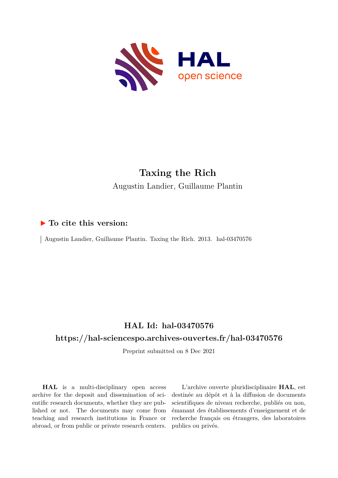

# **Taxing the Rich** Augustin Landier, Guillaume Plantin

# **To cite this version:**

 $\vert$  Augustin Landier, Guillaume Plantin. Taxing the Rich. 2013. hal-03470576

# **HAL Id: hal-03470576**

## **<https://hal-sciencespo.archives-ouvertes.fr/hal-03470576>**

Preprint submitted on 8 Dec 2021

**HAL** is a multi-disciplinary open access archive for the deposit and dissemination of scientific research documents, whether they are published or not. The documents may come from teaching and research institutions in France or abroad, or from public or private research centers.

L'archive ouverte pluridisciplinaire **HAL**, est destinée au dépôt et à la diffusion de documents scientifiques de niveau recherche, publiés ou non, émanant des établissements d'enseignement et de recherche français ou étrangers, des laboratoires publics ou privés.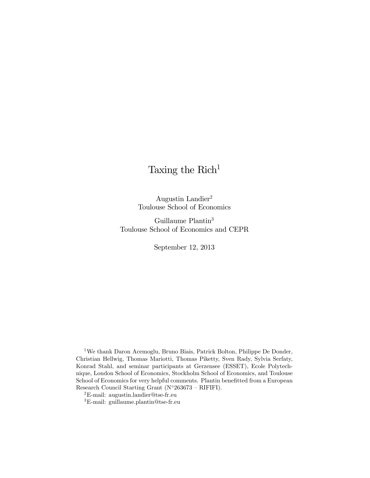# Taxing the  $\mathrm{Rich}^1$

Augustin Landier<sup>2</sup> Toulouse School of Economics

Guillaume Plantin<sup>3</sup> Toulouse School of Economics and CEPR

September 12, 2013

<sup>1</sup>We thank Daron Acemoglu, Bruno Biais, Patrick Bolton, Philippe De Donder, Christian Hellwig, Thomas Mariotti, Thomas Piketty, Sven Rady, Sylvia Serfaty, Konrad Stahl, and seminar participants at Gerzensee (ESSET), Ecole Polytechnique, London School of Economics, Stockholm School of Economics, and Toulouse School of Economics for very helpful comments. Plantin benefitted from a European Research Council Starting Grant ( $N^{\circ}263673$  – RIFIFI).

<sup>2</sup>E-mail: augustin.landier@tse-fr.eu

<sup>3</sup>E-mail: guillaume.plantin@tse-fr.eu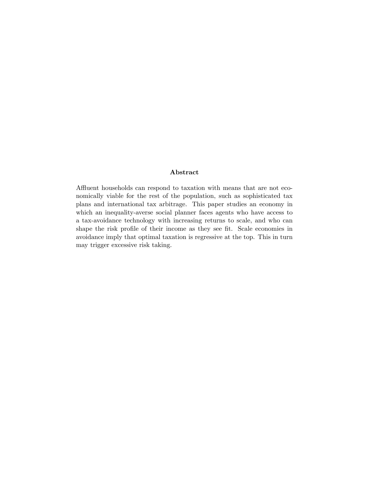#### Abstract

Affluent households can respond to taxation with means that are not economically viable for the rest of the population, such as sophisticated tax plans and international tax arbitrage. This paper studies an economy in which an inequality-averse social planner faces agents who have access to a tax-avoidance technology with increasing returns to scale, and who can shape the risk profile of their income as they see fit. Scale economies in avoidance imply that optimal taxation is regressive at the top. This in turn may trigger excessive risk taking.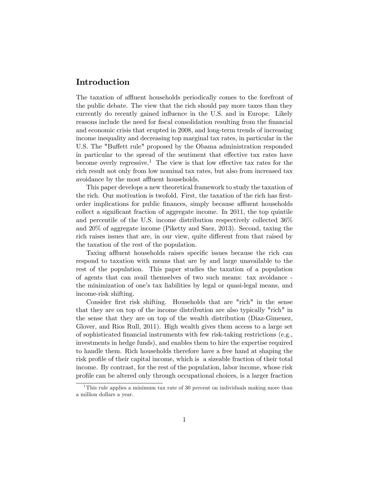## Introduction

The taxation of affluent households periodically comes to the forefront of the public debate. The view that the rich should pay more taxes than they currently do recently gained influence in the U.S. and in Europe. Likely reasons include the need for fiscal consolidation resulting from the financial and economic crisis that erupted in 2008, and long-term trends of increasing income inequality and decreasing top marginal tax rates, in particular in the U.S. The "Buffett rule" proposed by the Obama administration responded in particular to the spread of the sentiment that effective tax rates have become overly regressive.<sup>1</sup> The view is that low effective tax rates for the rich result not only from low nominal tax rates, but also from increased tax avoidance by the most affluent households.

This paper develops a new theoretical framework to study the taxation of the rich. Our motivation is twofold. First, the taxation of the rich has firstorder implications for public finances, simply because affluent households collect a significant fraction of aggregate income. In 2011, the top quintile and percentile of the U.S. income distribution respectively collected 36% and 20% of aggregate income (Piketty and Saez, 2013). Second, taxing the rich raises issues that are, in our view, quite different from that raised by the taxation of the rest of the population.

Taxing affluent households raises specific issues because the rich can respond to taxation with means that are by and large unavailable to the rest of the population. This paper studies the taxation of a population of agents that can avail themselves of two such means: tax avoidance the minimization of one's tax liabilities by legal or quasi-legal means, and income-risk shifting.

Consider first risk shifting. Households that are "rich" in the sense that they are on top of the income distribution are also typically "rich" in the sense that they are on top of the wealth distribution (Diaz-Gimenez, Glover, and Rios Rull, 2011). High wealth gives them access to a large set of sophisticated Önancial instruments with few risk-taking restrictions (e.g., investments in hedge funds), and enables them to hire the expertise required to handle them. Rich households therefore have a free hand at shaping the risk profile of their capital income, which is a sizeable fraction of their total income. By contrast, for the rest of the population, labor income, whose risk profile can be altered only through occupational choices, is a larger fraction

<sup>&</sup>lt;sup>1</sup>This rule applies a minimum tax rate of 30 percent on individuals making more than a million dollars a year.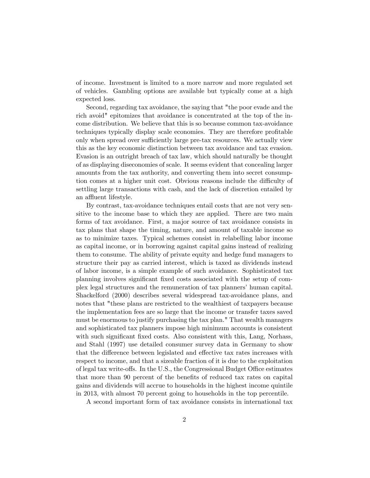of income. Investment is limited to a more narrow and more regulated set of vehicles. Gambling options are available but typically come at a high expected loss.

Second, regarding tax avoidance, the saying that "the poor evade and the rich avoid" epitomizes that avoidance is concentrated at the top of the income distribution. We believe that this is so because common tax-avoidance techniques typically display scale economies. They are therefore profitable only when spread over sufficiently large pre-tax resources. We actually view this as the key economic distinction between tax avoidance and tax evasion. Evasion is an outright breach of tax law, which should naturally be thought of as displaying diseconomies of scale. It seems evident that concealing larger amounts from the tax authority, and converting them into secret consumption comes at a higher unit cost. Obvious reasons include the difficulty of settling large transactions with cash, and the lack of discretion entailed by an affluent lifestyle.

By contrast, tax-avoidance techniques entail costs that are not very sensitive to the income base to which they are applied. There are two main forms of tax avoidance. First, a major source of tax avoidance consists in tax plans that shape the timing, nature, and amount of taxable income so as to minimize taxes. Typical schemes consist in relabelling labor income as capital income, or in borrowing against capital gains instead of realizing them to consume. The ability of private equity and hedge fund managers to structure their pay as carried interest, which is taxed as dividends instead of labor income, is a simple example of such avoidance. Sophisticated tax planning involves significant fixed costs associated with the setup of complex legal structures and the remuneration of tax planners' human capital. Shackelford (2000) describes several widespread tax-avoidance plans, and notes that "these plans are restricted to the wealthiest of taxpayers because the implementation fees are so large that the income or transfer taxes saved must be enormous to justify purchasing the tax plan." That wealth managers and sophisticated tax planners impose high minimum accounts is consistent with such significant fixed costs. Also consistent with this, Lang, Norhass, and Stahl (1997) use detailed consumer survey data in Germany to show that the difference between legislated and effective tax rates increases with respect to income, and that a sizeable fraction of it is due to the exploitation of legal tax write-offs. In the U.S., the Congressional Budget Office estimates that more than 90 percent of the benefits of reduced tax rates on capital gains and dividends will accrue to households in the highest income quintile in 2013, with almost 70 percent going to households in the top percentile.

A second important form of tax avoidance consists in international tax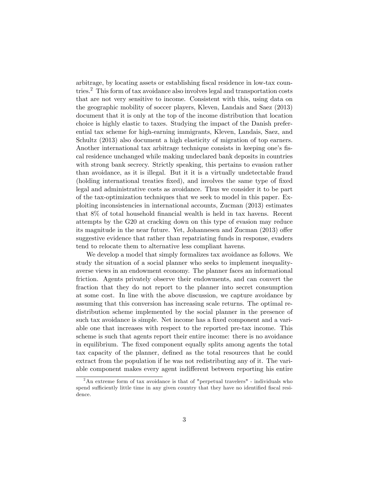arbitrage, by locating assets or establishing fiscal residence in low-tax countries.<sup>2</sup> This form of tax avoidance also involves legal and transportation costs that are not very sensitive to income. Consistent with this, using data on the geographic mobility of soccer players, Kleven, Landais and Saez (2013) document that it is only at the top of the income distribution that location choice is highly elastic to taxes. Studying the impact of the Danish preferential tax scheme for high-earning immigrants, Kleven, Landais, Saez, and Schultz (2013) also document a high elasticity of migration of top earners. Another international tax arbitrage technique consists in keeping one's fiscal residence unchanged while making undeclared bank deposits in countries with strong bank secrecy. Strictly speaking, this pertains to evasion rather than avoidance, as it is illegal. But it it is a virtually undetectable fraud (holding international treaties fixed), and involves the same type of fixed legal and administrative costs as avoidance. Thus we consider it to be part of the tax-optimization techniques that we seek to model in this paper. Exploiting inconsistencies in international accounts, Zucman (2013) estimates that 8% of total household Önancial wealth is held in tax havens. Recent attempts by the G20 at cracking down on this type of evasion may reduce its magnitude in the near future. Yet, Johannesen and Zucman  $(2013)$  offer suggestive evidence that rather than repatriating funds in response, evaders tend to relocate them to alternative less compliant havens.

We develop a model that simply formalizes tax avoidance as follows. We study the situation of a social planner who seeks to implement inequalityaverse views in an endowment economy. The planner faces an informational friction. Agents privately observe their endowments, and can convert the fraction that they do not report to the planner into secret consumption at some cost. In line with the above discussion, we capture avoidance by assuming that this conversion has increasing scale returns. The optimal redistribution scheme implemented by the social planner in the presence of such tax avoidance is simple. Net income has a fixed component and a variable one that increases with respect to the reported pre-tax income. This scheme is such that agents report their entire income: there is no avoidance in equilibrium. The fixed component equally splits among agents the total tax capacity of the planner, defined as the total resources that he could extract from the population if he was not redistributing any of it. The variable component makes every agent indifferent between reporting his entire

 $2^2$ An extreme form of tax avoidance is that of "perpetual travelers" - individuals who spend sufficiently little time in any given country that they have no identified fiscal residence.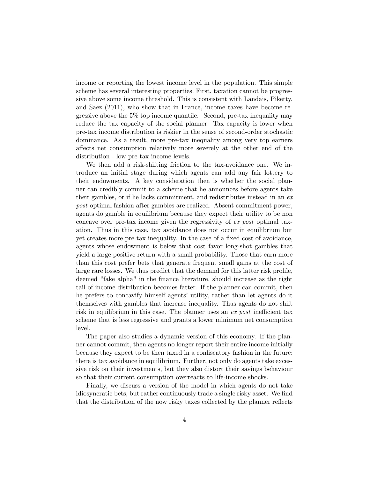income or reporting the lowest income level in the population. This simple scheme has several interesting properties. First, taxation cannot be progressive above some income threshold. This is consistent with Landais, Piketty, and Saez (2011), who show that in France, income taxes have become regressive above the 5% top income quantile. Second, pre-tax inequality may reduce the tax capacity of the social planner. Tax capacity is lower when pre-tax income distribution is riskier in the sense of second-order stochastic dominance. As a result, more pre-tax inequality among very top earners a§ects net consumption relatively more severely at the other end of the distribution - low pre-tax income levels.

We then add a risk-shifting friction to the tax-avoidance one. We introduce an initial stage during which agents can add any fair lottery to their endowments. A key consideration then is whether the social planner can credibly commit to a scheme that he announces before agents take their gambles, or if he lacks commitment, and redistributes instead in an ex post optimal fashion after gambles are realized. Absent commitment power, agents do gamble in equilibrium because they expect their utility to be non concave over pre-tax income given the regressivity of ex post optimal taxation. Thus in this case, tax avoidance does not occur in equilibrium but yet creates more pre-tax inequality. In the case of a fixed cost of avoidance, agents whose endowment is below that cost favor long-shot gambles that yield a large positive return with a small probability. Those that earn more than this cost prefer bets that generate frequent small gains at the cost of large rare losses. We thus predict that the demand for this latter risk profile, deemed "fake alpha" in the Önance literature, should increase as the right tail of income distribution becomes fatter. If the planner can commit, then he prefers to concavify himself agents' utility, rather than let agents do it themselves with gambles that increase inequality. Thus agents do not shift risk in equilibrium in this case. The planner uses an  $ex$  post inefficient tax scheme that is less regressive and grants a lower minimum net consumption level.

The paper also studies a dynamic version of this economy. If the planner cannot commit, then agents no longer report their entire income initially because they expect to be then taxed in a confiscatory fashion in the future: there is tax avoidance in equilibrium. Further, not only do agents take excessive risk on their investments, but they also distort their savings behaviour so that their current consumption overreacts to life-income shocks.

Finally, we discuss a version of the model in which agents do not take idiosyncratic bets, but rather continuously trade a single risky asset. We find that the distribution of the now risky taxes collected by the planner reflects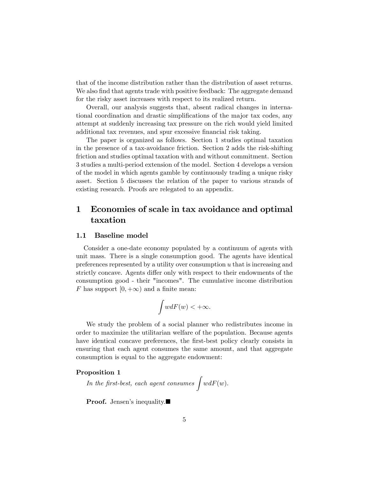that of the income distribution rather than the distribution of asset returns. We also find that agents trade with positive feedback: The aggregate demand for the risky asset increases with respect to its realized return.

Overall, our analysis suggests that, absent radical changes in international coordination and drastic simplifications of the major tax codes, any attempt at suddenly increasing tax pressure on the rich would yield limited additional tax revenues, and spur excessive financial risk taking.

The paper is organized as follows. Section 1 studies optimal taxation in the presence of a tax-avoidance friction. Section 2 adds the risk-shifting friction and studies optimal taxation with and without commitment. Section 3 studies a multi-period extension of the model. Section 4 develops a version of the model in which agents gamble by continuously trading a unique risky asset. Section 5 discusses the relation of the paper to various strands of existing research. Proofs are relegated to an appendix.

# 1 Economies of scale in tax avoidance and optimal taxation

### 1.1 Baseline model

Consider a one-date economy populated by a continuum of agents with unit mass. There is a single consumption good. The agents have identical preferences represented by a utility over consumption u that is increasing and strictly concave. Agents differ only with respect to their endowments of the consumption good - their "incomes". The cumulative income distribution F has support  $[0, +\infty)$  and a finite mean:

$$
\int wdF(w) < +\infty.
$$

We study the problem of a social planner who redistributes income in order to maximize the utilitarian welfare of the population. Because agents have identical concave preferences, the first-best policy clearly consists in ensuring that each agent consumes the same amount, and that aggregate consumption is equal to the aggregate endowment:

 $\epsilon$ 

#### Proposition 1

In the first-best, each agent consumes 
$$
\int w dF(w)
$$
.

Proof. Jensen's inequality.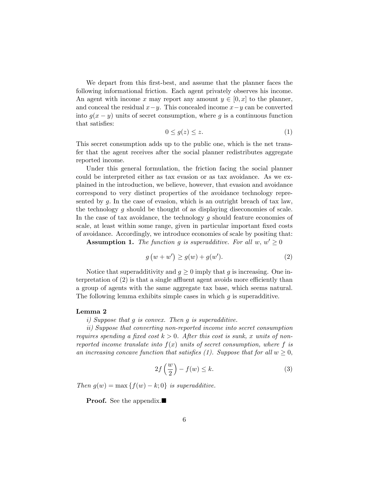We depart from this first-best, and assume that the planner faces the following informational friction. Each agent privately observes his income. An agent with income x may report any amount  $y \in [0, x]$  to the planner, and conceal the residual  $x-y$ . This concealed income  $x-y$  can be converted into  $g(x - y)$  units of secret consumption, where g is a continuous function that satisfies:

$$
0 \le g(z) \le z. \tag{1}
$$

This secret consumption adds up to the public one, which is the net transfer that the agent receives after the social planner redistributes aggregate reported income.

Under this general formulation, the friction facing the social planner could be interpreted either as tax evasion or as tax avoidance. As we explained in the introduction, we believe, however, that evasion and avoidance correspond to very distinct properties of the avoidance technology represented by  $g$ . In the case of evasion, which is an outright breach of tax law, the technology  $g$  should be thought of as displaying diseconomies of scale. In the case of tax avoidance, the technology  $g$  should feature economies of scale, at least within some range, given in particular important fixed costs of avoidance. Accordingly, we introduce economies of scale by positing that:

**Assumption 1.** The function g is superadditive. For all w,  $w' > 0$ 

$$
g(w + w') \ge g(w) + g(w'). \tag{2}
$$

Notice that superadditivity and  $g \geq 0$  imply that g is increasing. One interpretation of  $(2)$  is that a single affluent agent avoids more efficiently than a group of agents with the same aggregate tax base, which seems natural. The following lemma exhibits simple cases in which  $q$  is superadditive.

#### Lemma 2

i) Suppose that g is convex. Then g is superadditive.

ii) Suppose that converting non-reported income into secret consumption requires spending a fixed cost  $k > 0$ . After this cost is sunk, x units of nonreported income translate into  $f(x)$  units of secret consumption, where f is an increasing concave function that satisfies (1). Suppose that for all  $w > 0$ ,

$$
2f\left(\frac{w}{2}\right) - f(w) \le k. \tag{3}
$$

Then  $g(w) = \max \{f(w) - k; 0\}$  is superadditive.

**Proof.** See the appendix.■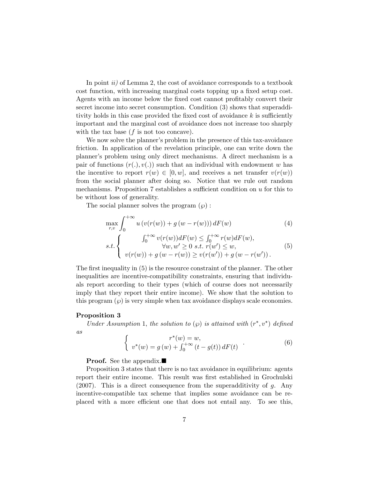In point  $ii)$  of Lemma 2, the cost of avoidance corresponds to a textbook cost function, with increasing marginal costs topping up a fixed setup cost. Agents with an income below the fixed cost cannot profitably convert their secret income into secret consumption. Condition (3) shows that superadditivity holds in this case provided the fixed cost of avoidance  $k$  is sufficiently important and the marginal cost of avoidance does not increase too sharply with the tax base  $(f \text{ is not too concave}).$ 

We now solve the planner's problem in the presence of this tax-avoidance friction. In application of the revelation principle, one can write down the plannerís problem using only direct mechanisms. A direct mechanism is a pair of functions  $(r(.), v(.))$  such that an individual with endowment w has the incentive to report  $r(w) \in [0, w]$ , and receives a net transfer  $v(r(w))$ from the social planner after doing so. Notice that we rule out random mechanisms. Proposition 7 establishes a sufficient condition on  $u$  for this to be without loss of generality.

The social planner solves the program  $(\wp)$ :

$$
\max_{r,v} \int_0^{+\infty} u \left( v(r(w)) + g \left( w - r(w) \right) \right) dF(w) \tag{4}
$$
\n
$$
s.t. \begin{cases} \int_0^{+\infty} v(r(w)) dF(w) \le \int_0^{+\infty} r(w) dF(w), \\ \forall w, w' \ge 0 \ s.t. \ r(w') \le w, \\ v(r(w)) + g \left( w - r(w) \right) \ge v(r(w')) + g \left( w - r(w') \right). \end{cases} \tag{5}
$$

The first inequality in  $(5)$  is the resource constraint of the planner. The other inequalities are incentive-compatibility constraints, ensuring that individuals report according to their types (which of course does not necessarily imply that they report their entire income). We show that the solution to this program  $(\wp)$  is very simple when tax avoidance displays scale economies.

#### Proposition 3

Under Assumption 1, the solution to  $(\varphi)$  is attained with  $(r^*, v^*)$  defined as

$$
\begin{cases}\n r^*(w) = w, \\
 v^*(w) = g(w) + \int_0^{+\infty} (t - g(t)) dF(t)\n\end{cases} (6)
$$

**Proof.** See the appendix.■

Proposition 3 states that there is no tax avoidance in equilibrium: agents report their entire income. This result was first established in Grochulski  $(2007)$ . This is a direct consequence from the superadditivity of g. Any incentive-compatible tax scheme that implies some avoidance can be replaced with a more efficient one that does not entail any. To see this,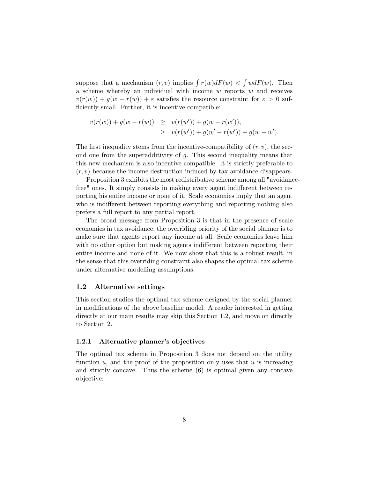suppose that a mechanism  $(r, v)$  implies  $\int r(w)dF(w) < \int w dF(w)$ . Then a scheme whereby an individual with income w reports w and receives  $v(r(w)) + g(w - r(w)) + \varepsilon$  satisfies the resource constraint for  $\varepsilon > 0$  sufficiently small. Further, it is incentive-compatible:

$$
v(r(w)) + g(w - r(w)) \geq v(r(w')) + g(w - r(w')),
$$
  
 
$$
\geq v(r(w')) + g(w' - r(w')) + g(w - w').
$$

The first inequality stems from the incentive-compatibility of  $(r, v)$ , the second one from the superadditivity of  $q$ . This second inequality means that this new mechanism is also incentive-compatible. It is strictly preferable to  $(r, v)$  because the income destruction induced by tax avoidance disappears.

Proposition 3 exhibits the most redistributive scheme among all "avoidancefree" ones. It simply consists in making every agent indifferent between reporting his entire income or none of it. Scale economies imply that an agent who is indifferent between reporting everything and reporting nothing also prefers a full report to any partial report.

The broad message from Proposition 3 is that in the presence of scale economies in tax avoidance, the overriding priority of the social planner is to make sure that agents report any income at all. Scale economies leave him with no other option but making agents indifferent between reporting their entire income and none of it. We now show that this is a robust result, in the sense that this overriding constraint also shapes the optimal tax scheme under alternative modelling assumptions.

#### 1.2 Alternative settings

This section studies the optimal tax scheme designed by the social planner in modifications of the above baseline model. A reader interested in getting directly at our main results may skip this Section 1.2, and move on directly to Section 2:

#### 1.2.1 Alternative planner's objectives

The optimal tax scheme in Proposition 3 does not depend on the utility function  $u$ , and the proof of the proposition only uses that  $u$  is increasing and strictly concave. Thus the scheme (6) is optimal given any concave objective: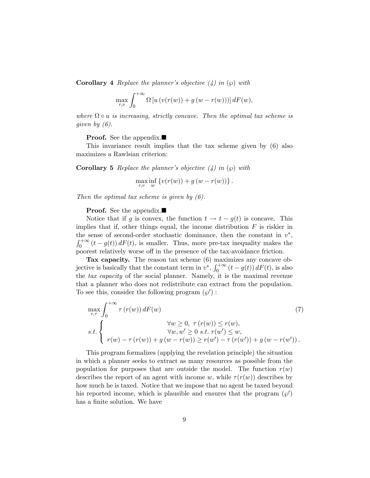**Corollary 4** Replace the planner's objective  $(4)$  in  $(\wp)$  with

$$
\max_{r,v} \int_0^{+\infty} \Omega \left[ u \left( v(r(w)) + g \left( w - r(w) \right) \right) \right] dF(w),
$$

where  $\Omega \circ u$  is increasing, strictly concave. Then the optimal tax scheme is given by (6).

**Proof.** See the appendix.

This invariance result implies that the tax scheme given by (6) also maximizes a Rawlsian criterion:

**Corollary 5** Replace the planner's objective  $(4)$  in  $(\wp)$  with

$$
\max_{r,v} \inf_{w} \left\{ v(r(w)) + g(w-r(w)) \right\}.
$$

Then the optimal tax scheme is given by  $(6)$ .

**Proof.** See the appendix.

Notice that if g is convex, the function  $t \to t - g(t)$  is concave. This implies that if, other things equal, the income distribution  $F$  is riskier in the sense of second-order stochastic dominance, then the constant in  $v^*$ ,  $\int_0^{+\infty} (t - g(t)) dF(t)$ , is smaller. Thus, more pre-tax inequality makes the poorest relatively worse off in the presence of the tax-avoidance friction.

Tax capacity. The reason tax scheme (6) maximizes any concave objective is basically that the constant term in  $v^*$ ,  $\int_0^{+\infty} (t - g(t)) dF(t)$ , is also the tax capacity of the social planner. Namely, it is the maximal revenue that a planner who does not redistribute can extract from the population. To see this, consider the following program  $(\wp')$ :

$$
\max_{r,\tau} \int_0^{+\infty} \tau(r(w)) dF(w) \tag{7}
$$
\n
$$
s.t. \begin{cases} \forall w \ge 0, \ \tau(r(w)) \le r(w), \\ r(w) - \tau(r(w)) + g(w - r(w)) \ge r(w') - \tau(r(w')) + g(w - r(w')). \end{cases}
$$

This program formalizes (applying the revelation principle) the situation in which a planner seeks to extract as many resources as possible from the population for purposes that are outside the model. The function  $r(w)$ describes the report of an agent with income w, while  $\tau(r(w))$  describes by how much he is taxed. Notice that we impose that no agent be taxed beyond his reported income, which is plausible and ensures that the program  $(\wp')$ has a finite solution. We have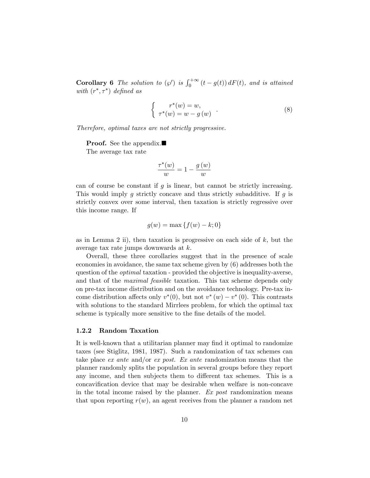**Corollary 6** The solution to  $(\wp')$  is  $\int_0^{+\infty} (t - g(t)) dF(t)$ , and is attained with  $(r^*, \tau^*)$  defined as

$$
\begin{cases}\n r^*(w) = w, \\
 \tau^*(w) = w - g(w)\n\end{cases} \tag{8}
$$

Therefore, optimal taxes are not strictly progressive.

**Proof.** See the appendix. $\blacksquare$ The average tax rate

$$
\frac{\tau^*(w)}{w} = 1 - \frac{g(w)}{w}
$$

can of course be constant if  $g$  is linear, but cannot be strictly increasing. This would imply q strictly concave and thus strictly subadditive. If q is strictly convex over some interval, then taxation is strictly regressive over this income range. If

$$
g(w) = \max\left\{f(w) - k; 0\right\}
$$

as in Lemma 2 ii), then taxation is progressive on each side of  $k$ , but the average tax rate jumps downwards at k.

Overall, these three corollaries suggest that in the presence of scale economies in avoidance, the same tax scheme given by (6) addresses both the question of the *optimal* taxation - provided the objective is inequality-averse, and that of the maximal feasible taxation. This tax scheme depends only on pre-tax income distribution and on the avoidance technology. Pre-tax income distribution affects only  $v^*(0)$ , but not  $v^*(w) - v^*(0)$ . This contrasts with solutions to the standard Mirrlees problem, for which the optimal tax scheme is typically more sensitive to the fine details of the model.

#### 1.2.2 Random Taxation

It is well-known that a utilitarian planner may find it optimal to randomize taxes (see Stiglitz, 1981, 1987). Such a randomization of tax schemes can take place ex ante and/or ex post. Ex ante randomization means that the planner randomly splits the population in several groups before they report any income, and then subjects them to different tax schemes. This is a concaviÖcation device that may be desirable when welfare is non-concave in the total income raised by the planner.  $Ex\ post$  randomization means that upon reporting  $r(w)$ , an agent receives from the planner a random net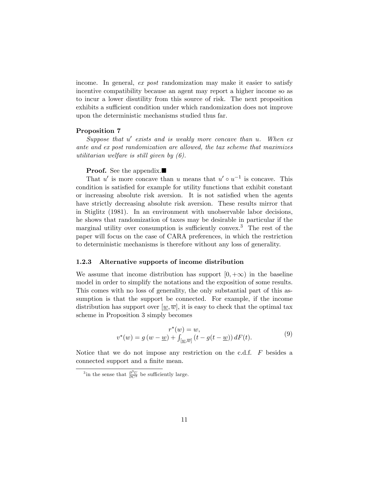income. In general, ex post randomization may make it easier to satisfy incentive compatibility because an agent may report a higher income so as to incur a lower disutility from this source of risk. The next proposition exhibits a sufficient condition under which randomization does not improve upon the deterministic mechanisms studied thus far.

#### Proposition 7

Suppose that  $u'$  exists and is weakly more concave than  $u$ . When ex ante and ex post randomization are allowed, the tax scheme that maximizes utilitarian welfare is still given by (6).

#### **Proof.** See the appendix. $\blacksquare$

That u' is more concave than u means that  $u' \circ u^{-1}$  is concave. This condition is satisfied for example for utility functions that exhibit constant or increasing absolute risk aversion. It is not satisfied when the agents have strictly decreasing absolute risk aversion. These results mirror that in Stiglitz (1981). In an environment with unobservable labor decisions, he shows that randomization of taxes may be desirable in particular if the marginal utility over consumption is sufficiently convex.<sup>3</sup> The rest of the paper will focus on the case of CARA preferences, in which the restriction to deterministic mechanisms is therefore without any loss of generality.

#### 1.2.3 Alternative supports of income distribution

We assume that income distribution has support  $(0, +\infty)$  in the baseline model in order to simplify the notations and the exposition of some results. This comes with no loss of generality, the only substantial part of this assumption is that the support be connected. For example, if the income distribution has support over  $[\underline{w}, \overline{w}]$ , it is easy to check that the optimal tax scheme in Proposition 3 simply becomes

$$
r^*(w) = w,
$$
  

$$
v^*(w) = g(w - \underline{w}) + \int_{[\underline{w}, \overline{w}]} (t - g(t - \underline{w})) dF(t).
$$
 (9)

Notice that we do not impose any restriction on the c.d.f.  $F$  besides a connected support and a finite mean.

<sup>&</sup>lt;sup>3</sup>in the sense that  $\frac{\partial^3 U}{\partial C^3}$  be sufficiently large.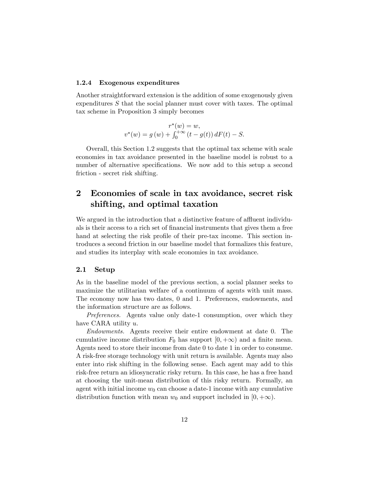#### 1.2.4 Exogenous expenditures

Another straightforward extension is the addition of some exogenously given expenditures  $S$  that the social planner must cover with taxes. The optimal tax scheme in Proposition 3 simply becomes

$$
r^*(w) = w,
$$
  

$$
v^*(w) = g(w) + \int_0^{+\infty} (t - g(t)) dF(t) - S.
$$

Overall, this Section 1.2 suggests that the optimal tax scheme with scale economies in tax avoidance presented in the baseline model is robust to a number of alternative specifications. We now add to this setup a second friction - secret risk shifting.

## 2 Economies of scale in tax avoidance, secret risk shifting, and optimal taxation

We argued in the introduction that a distinctive feature of affluent individuals is their access to a rich set of financial instruments that gives them a free hand at selecting the risk profile of their pre-tax income. This section introduces a second friction in our baseline model that formalizes this feature, and studies its interplay with scale economies in tax avoidance.

#### 2.1 Setup

As in the baseline model of the previous section, a social planner seeks to maximize the utilitarian welfare of a continuum of agents with unit mass. The economy now has two dates, 0 and 1. Preferences, endowments, and the information structure are as follows.

Preferences. Agents value only date-1 consumption, over which they have CARA utility u.

Endowments. Agents receive their entire endowment at date 0. The cumulative income distribution  $F_0$  has support  $[0, +\infty)$  and a finite mean. Agents need to store their income from date 0 to date 1 in order to consume. A risk-free storage technology with unit return is available. Agents may also enter into risk shifting in the following sense. Each agent may add to this risk-free return an idiosyncratic risky return. In this case, he has a free hand at choosing the unit-mean distribution of this risky return. Formally, an agent with initial income  $w_0$  can choose a date-1 income with any cumulative distribution function with mean  $w_0$  and support included in  $[0, +\infty)$ .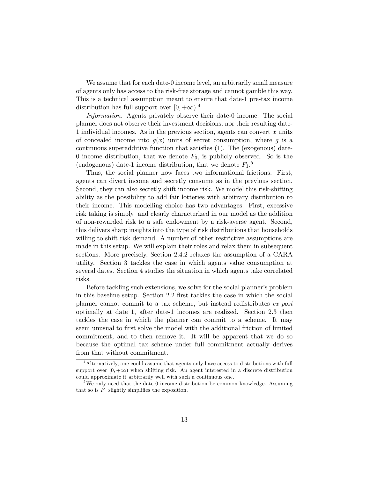We assume that for each date-0 income level, an arbitrarily small measure of agents only has access to the risk-free storage and cannot gamble this way. This is a technical assumption meant to ensure that date-1 pre-tax income distribution has full support over  $[0, +\infty)$ .<sup>4</sup>

Information. Agents privately observe their date-0 income. The social planner does not observe their investment decisions, nor their resulting date-1 individual incomes. As in the previous section, agents can convert  $x$  units of concealed income into  $q(x)$  units of secret consumption, where q is a continuous superadditive function that satisfies  $(1)$ . The (exogenous) date-0 income distribution, that we denote  $F_0$ , is publicly observed. So is the (endogenous) date-1 income distribution, that we denote  $F_1$ .<sup>5</sup>

Thus, the social planner now faces two informational frictions. First, agents can divert income and secretly consume as in the previous section. Second, they can also secretly shift income risk. We model this risk-shifting ability as the possibility to add fair lotteries with arbitrary distribution to their income. This modelling choice has two advantages. First, excessive risk taking is simply and clearly characterized in our model as the addition of non-rewarded risk to a safe endowment by a risk-averse agent. Second, this delivers sharp insights into the type of risk distributions that households willing to shift risk demand. A number of other restrictive assumptions are made in this setup. We will explain their roles and relax them in subsequent sections. More precisely, Section 2.4.2 relaxes the assumption of a CARA utility. Section 3 tackles the case in which agents value consumption at several dates. Section 4 studies the situation in which agents take correlated risks.

Before tackling such extensions, we solve for the social planner's problem in this baseline setup. Section 2.2 Örst tackles the case in which the social planner cannot commit to a tax scheme, but instead redistributes ex post optimally at date 1, after date-1 incomes are realized. Section 2.3 then tackles the case in which the planner can commit to a scheme. It may seem unusual to first solve the model with the additional friction of limited commitment, and to then remove it. It will be apparent that we do so because the optimal tax scheme under full commitment actually derives from that without commitment.

<sup>&</sup>lt;sup>4</sup> Alternatively, one could assume that agents only have access to distributions with full support over  $[0, +\infty)$  when shifting risk. An agent interested in a discrete distribution could approximate it arbitrarily well with such a continuous one.

<sup>&</sup>lt;sup>5</sup>We only need that the date-0 income distribution be common knowledge. Assuming that so is  $F_1$  slightly simplifies the exposition.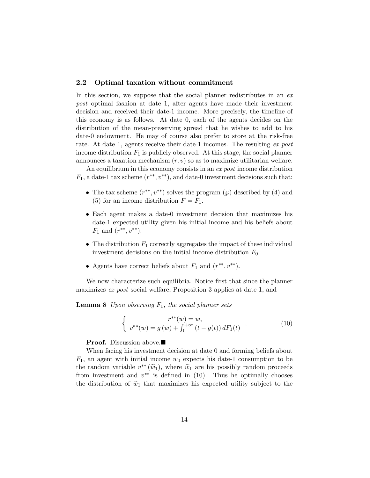#### 2.2 Optimal taxation without commitment

In this section, we suppose that the social planner redistributes in an expost optimal fashion at date 1, after agents have made their investment decision and received their date-1 income. More precisely, the timeline of this economy is as follows. At date 0, each of the agents decides on the distribution of the mean-preserving spread that he wishes to add to his date-0 endowment. He may of course also prefer to store at the risk-free rate. At date 1, agents receive their date-1 incomes. The resulting ex post income distribution  $F_1$  is publicly observed. At this stage, the social planner announces a taxation mechanism  $(r, v)$  so as to maximize utilitarian welfare.

An equilibrium in this economy consists in an ex post income distribution  $F_1$ , a date-1 tax scheme  $(r^{**}, v^{**})$ , and date-0 investment decisions such that:

- The tax scheme  $(r^{**}, v^{**})$  solves the program  $(\wp)$  described by (4) and (5) for an income distribution  $F = F_1$ .
- Each agent makes a date-0 investment decision that maximizes his date-1 expected utility given his initial income and his beliefs about  $F_1$  and  $(r^{**}, v^{**})$ .
- $\bullet$  The distribution  $F_1$  correctly aggregates the impact of these individual investment decisions on the initial income distribution  $F_0$ .
- Agents have correct beliefs about  $F_1$  and  $(r^{**}, v^{**})$ .

We now characterize such equilibria. Notice first that since the planner maximizes ex post social welfare, Proposition 3 applies at date 1, and

**Lemma 8** Upon observing  $F_1$ , the social planner sets

$$
\begin{cases}\n r^{**}(w) = w, \\
 v^{**}(w) = g(w) + \int_0^{+\infty} (t - g(t)) dF_1(t)\n\end{cases} (10)
$$

**Proof.** Discussion above.■

When facing his investment decision at date 0 and forming beliefs about  $F_1$ , an agent with initial income  $w_0$  expects his date-1 consumption to be the random variable  $v^{**}(\tilde{w}_1)$ , where  $\tilde{w}_1$  are his possibly random proceeds from investment and  $v^{**}$  is defined in (10). Thus he optimally chooses the distribution of  $\tilde{w}_1$  that maximizes his expected utility subject to the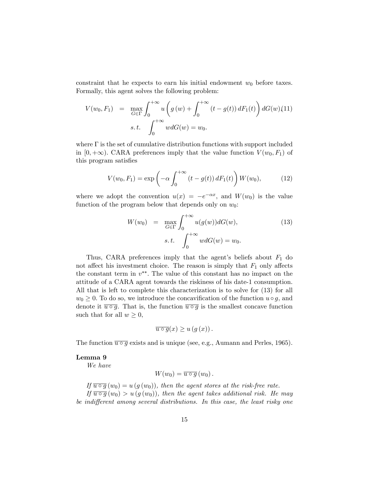constraint that he expects to earn his initial endowment  $w_0$  before taxes. Formally, this agent solves the following problem:

$$
V(w_0, F_1) = \max_{G \in \Gamma} \int_0^{+\infty} u \left( g(w) + \int_0^{+\infty} (t - g(t)) dF_1(t) \right) dG(w) (11)
$$
  
s.t. 
$$
\int_0^{+\infty} w dG(w) = w_0.
$$

where  $\Gamma$  is the set of cumulative distribution functions with support included in  $[0, +\infty)$ . CARA preferences imply that the value function  $V(w_0, F_1)$  of this program satisfies

$$
V(w_0, F_1) = \exp\left(-\alpha \int_0^{+\infty} (t - g(t)) dF_1(t)\right) W(w_0), \tag{12}
$$

where we adopt the convention  $u(x) = -e^{-\alpha x}$ , and  $W(w_0)$  is the value function of the program below that depends only on  $w_0$ :

$$
W(w_0) = \max_{G \in \Gamma} \int_0^{+\infty} u(g(w))dG(w), \qquad (13)
$$
  
s.t. 
$$
\int_0^{+\infty} w dG(w) = w_0.
$$

Thus, CARA preferences imply that the agent's beliefs about  $F_1$  do not affect his investment choice. The reason is simply that  $F_1$  only affects the constant term in  $v^{**}$ . The value of this constant has no impact on the attitude of a CARA agent towards the riskiness of his date-1 consumption. All that is left to complete this characterization is to solve for (13) for all  $w_0 \geq 0$ . To do so, we introduce the concavification of the function  $u \circ g$ , and denote it  $\overline{u \circ g}$ . That is, the function  $\overline{u \circ g}$  is the smallest concave function such that for all  $w \geq 0$ ,

$$
\overline{u \circ g}(x) \ge u(g(x)).
$$

The function  $\overline{u \circ g}$  exists and is unique (see, e.g., Aumann and Perles, 1965).

#### Lemma 9

We have

$$
W(w_0)=\overline{u\circ g}(w_0).
$$

If  $\overline{u \circ g}(w_0) = u(g(w_0))$ , then the agent stores at the risk-free rate. If  $\overline{u \circ g}(w_0) > u(g(w_0))$ , then the agent takes additional risk. He may be indifferent among several distributions. In this case, the least risky one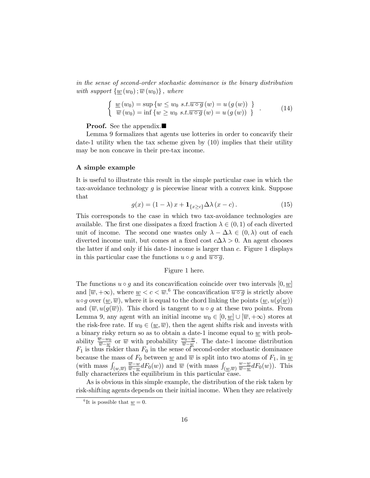in the sense of second-order stochastic dominance is the binary distribution with support  $\{w(w_0); \overline{w}(w_0)\}\,$ , where

$$
\begin{cases}\n\underline{w}(w_0) = \sup \{w \le w_0 \ s.t. \overline{u \circ g}(w) = u(g(w))\} \\
\overline{w}(w_0) = \inf \{w \ge w_0 \ s.t. \overline{u \circ g}(w) = u(g(w))\}\n\end{cases} (14)
$$

**Proof.** See the appendix.■

Lemma 9 formalizes that agents use lotteries in order to concavify their date-1 utility when the tax scheme given by (10) implies that their utility may be non concave in their pre-tax income.

#### A simple example

It is useful to illustrate this result in the simple particular case in which the tax-avoidance technology g is piecewise linear with a convex kink. Suppose that

$$
g(x) = (1 - \lambda)x + \mathbf{1}_{\{x \ge c\}} \Delta \lambda (x - c). \tag{15}
$$

This corresponds to the case in which two tax-avoidance technologies are available. The first one dissipates a fixed fraction  $\lambda \in (0, 1)$  of each diverted unit of income. The second one wastes only  $\lambda - \Delta \lambda \in (0, \lambda)$  out of each diverted income unit, but comes at a fixed cost  $c\Delta\lambda > 0$ . An agent chooses the latter if and only if his date-1 income is larger than  $c$ . Figure 1 displays in this particular case the functions  $u \circ q$  and  $\overline{u \circ q}$ .

#### Figure 1 here.

The functions  $u \circ q$  and its concavification coincide over two intervals  $[0, w]$ and  $[\overline{w}, +\infty)$ , where  $w < c < \overline{w}$ .<sup>6</sup> The concavification  $\overline{u \circ g}$  is strictly above  $u \circ q$  over  $(w, \overline{w})$ , where it is equal to the chord linking the points  $(w, u(q(w)))$ and  $(\overline{w}, u(g(\overline{w}))$ . This chord is tangent to  $u \circ g$  at these two points. From Lemma 9, any agent with an initial income  $w_0 \in [0, w] \cup [\overline{w}, +\infty)$  stores at the risk-free rate. If  $w_0 \in (w, \overline{w})$ , then the agent shifts risk and invests with a binary risky return so as to obtain a date-1 income equal to  $\underline{w}$  with probability  $\frac{\overline{w}-w_0}{\overline{w}-w}$  or  $\overline{w}$  with probability  $\frac{w_0-w}{\overline{w}-w}$ . The date-1 income distribution  $F_1$  is thus riskier than  $F_0$  in the sense of second-order stochastic dominance because the mass of  $F_0$  between  $\underline{w}$  and  $\overline{w}$  is split into two atoms of  $F_1$ , in  $\underline{w}$ (with mass  $\int_{(w,\overline{w})} \frac{\overline{w} - w}{\overline{w} - \underline{w}}$  $\frac{\overline{w}-w}{\overline{w}-w}dF_0(w)$  and  $\overline{w}$  (with mass  $\int_{(\underline{w},\overline{w})}\frac{w-w}{\overline{w}-w}$  $\frac{w-w}{\overline{w}-\underline{w}}dF_0(w)$ . This fully characterizes the equilibrium in this particular case.

As is obvious in this simple example, the distribution of the risk taken by risk-shifting agents depends on their initial income. When they are relatively

<sup>&</sup>lt;sup>6</sup>It is possible that  $\underline{w} = 0$ .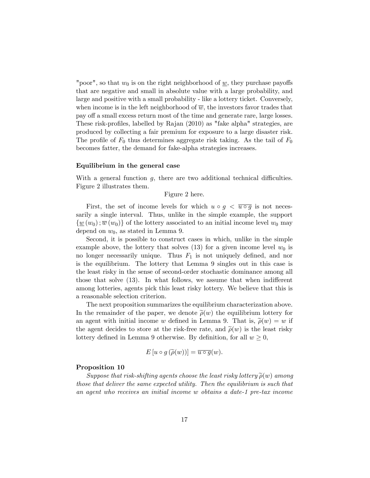"poor", so that  $w_0$  is on the right neighborhood of  $w$ , they purchase payoffs that are negative and small in absolute value with a large probability, and large and positive with a small probability - like a lottery ticket. Conversely, when income is in the left neighborhood of  $\overline{w}$ , the investors favor trades that pay off a small excess return most of the time and generate rare, large losses. These risk-profiles, labelled by Rajan  $(2010)$  as "fake alpha" strategies, are produced by collecting a fair premium for exposure to a large disaster risk. The profile of  $F_0$  thus determines aggregate risk taking. As the tail of  $F_0$ becomes fatter, the demand for fake-alpha strategies increases.

#### Equilibrium in the general case

With a general function  $g$ , there are two additional technical difficulties. Figure 2 illustrates them.

#### Figure 2 here.

First, the set of income levels for which  $u \circ q < \overline{u \circ q}$  is not necessarily a single interval. Thus, unlike in the simple example, the support  $\{w(w_0);\overline{w}(w_0)\}\$  of the lottery associated to an initial income level  $w_0$  may depend on  $w_0$ , as stated in Lemma 9.

Second, it is possible to construct cases in which, unlike in the simple example above, the lottery that solves (13) for a given income level  $w_0$  is no longer necessarily unique. Thus  $F_1$  is not uniquely defined, and nor is the equilibrium. The lottery that Lemma 9 singles out in this case is the least risky in the sense of second-order stochastic dominance among all those that solve  $(13)$ . In what follows, we assume that when indifferent among lotteries, agents pick this least risky lottery. We believe that this is a reasonable selection criterion.

The next proposition summarizes the equilibrium characterization above. In the remainder of the paper, we denote  $\tilde{\rho}(w)$  the equilibrium lottery for an agent with initial income w defined in Lemma 9. That is,  $\tilde{\rho}(w) = w$  if the agent decides to store at the risk-free rate, and  $\tilde{\rho}(w)$  is the least risky lottery defined in Lemma 9 otherwise. By definition, for all  $w \geq 0$ ,

$$
E[u \circ g(\widetilde{\rho}(w))] = \overline{u \circ g}(w).
$$

#### Proposition 10

Suppose that risk-shifting agents choose the least risky lottery  $\widetilde{\rho}(w)$  among those that deliver the same expected utility. Then the equilibrium is such that an agent who receives an initial income w obtains a date-1 pre-tax income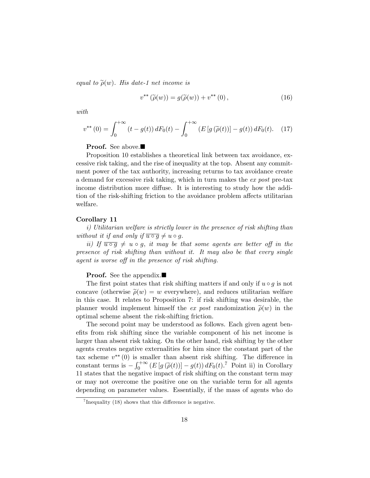equal to  $\tilde{\rho}(w)$ . His date-1 net income is

$$
v^{**}\left(\tilde{\rho}(w)\right) = g(\tilde{\rho}(w)) + v^{**}\left(0\right),\tag{16}
$$

with

$$
v^{**}(0) = \int_0^{+\infty} (t - g(t)) dF_0(t) - \int_0^{+\infty} (E[g(\tilde{\rho}(t))] - g(t)) dF_0(t).
$$
 (17)

#### Proof. See above.■

Proposition 10 establishes a theoretical link between tax avoidance, excessive risk taking, and the rise of inequality at the top. Absent any commitment power of the tax authority, increasing returns to tax avoidance create a demand for excessive risk taking, which in turn makes the ex post pre-tax income distribution more diffuse. It is interesting to study how the addition of the risk-shifting friction to the avoidance problem affects utilitarian welfare.

#### Corollary 11

i) Utilitarian welfare is strictly lower in the presence of risk shifting than without it if and only if  $\overline{u \circ g} \neq u \circ g$ .

ii) If  $\overline{u \circ g} \neq u \circ g$ , it may be that some agents are better off in the presence of risk shifting than without it. It may also be that every single agent is worse off in the presence of risk shifting.

**Proof.** See the appendix.

The first point states that risk shifting matters if and only if  $u \circ q$  is not concave (otherwise  $\tilde{\rho}(w) = w$  everywhere), and reduces utilitarian welfare in this case. It relates to Proposition 7: if risk shifting was desirable, the planner would implement himself the ex post randomization  $\tilde{\rho}(w)$  in the optimal scheme absent the risk-shifting friction.

The second point may be understood as follows. Each given agent benefits from risk shifting since the variable component of his net income is larger than absent risk taking. On the other hand, risk shifting by the other agents creates negative externalities for him since the constant part of the tax scheme  $v^{**}(0)$  is smaller than absent risk shifting. The difference in constant terms is  $-\int_0^{+\infty} (E[g(\tilde{\rho}(t))] - g(t)) dF_0(t)$ .<sup>7</sup> Point ii) in Corollary 11 states that the negative impact of risk shifting on the constant term may or may not overcome the positive one on the variable term for all agents depending on parameter values. Essentially, if the mass of agents who do

 $7$ Inequality (18) shows that this difference is negative.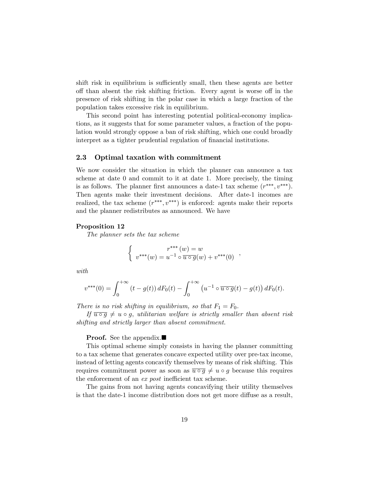shift risk in equilibrium is sufficiently small, then these agents are better off than absent the risk shifting friction. Every agent is worse off in the presence of risk shifting in the polar case in which a large fraction of the population takes excessive risk in equilibrium.

This second point has interesting potential political-economy implications, as it suggests that for some parameter values, a fraction of the population would strongly oppose a ban of risk shifting, which one could broadly interpret as a tighter prudential regulation of financial institutions.

#### 2.3 Optimal taxation with commitment

We now consider the situation in which the planner can announce a tax scheme at date 0 and commit to it at date 1. More precisely, the timing is as follows. The planner first announces a date-1 tax scheme  $(r^{***}, v^{***})$ . Then agents make their investment decisions. After date-1 incomes are realized, the tax scheme  $(r^{***}, v^{***})$  is enforced: agents make their reports and the planner redistributes as announced. We have

#### Proposition 12

The planner sets the tax scheme

$$
\begin{cases}\n r^{***}(w) = w \\
 v^{***}(w) = u^{-1} \circ \overline{u \circ g}(w) + v^{***}(0)\n\end{cases}
$$

with

$$
v^{***}(0) = \int_0^{+\infty} (t - g(t)) dF_0(t) - \int_0^{+\infty} (u^{-1} \circ \overline{u \circ g}(t) - g(t)) dF_0(t).
$$

There is no risk shifting in equilibrium, so that  $F_1 = F_0$ .

If  $\overline{u \circ g} \neq u \circ g$ , utilitarian welfare is strictly smaller than absent risk shifting and strictly larger than absent commitment.

**Proof.** See the appendix.■

This optimal scheme simply consists in having the planner committing to a tax scheme that generates concave expected utility over pre-tax income, instead of letting agents concavify themselves by means of risk shifting. This requires commitment power as soon as  $\overline{u \circ g} \neq u \circ g$  because this requires the enforcement of an  $ex$  post inefficient tax scheme.

The gains from not having agents concavifying their utility themselves is that the date-1 income distribution does not get more diffuse as a result,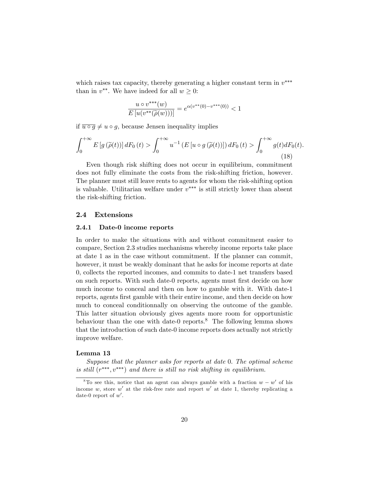which raises tax capacity, thereby generating a higher constant term in  $v^{***}$ than in  $v^{**}$ . We have indeed for all  $w \geq 0$ :

$$
\frac{u \circ v^{***}(w)}{E[u(v^{**}(\widetilde{\rho}(w)))]} = e^{\alpha(v^{**}(0) - v^{***}(0))} < 1
$$

if  $\overline{u \circ g} \neq u \circ g$ , because Jensen inequality implies

$$
\int_0^{+\infty} E\left[g\left(\tilde{\rho}(t)\right)\right] dF_0\left(t\right) > \int_0^{+\infty} u^{-1}\left(E\left[u \circ g\left(\tilde{\rho}(t)\right)\right]\right) dF_0\left(t\right) > \int_0^{+\infty} g(t) dF_0(t). \tag{18}
$$

Even though risk shifting does not occur in equilibrium, commitment does not fully eliminate the costs from the risk-shifting friction, however. The planner must still leave rents to agents for whom the risk-shifting option is valuable. Utilitarian welfare under  $v^{***}$  is still strictly lower than absent the risk-shifting friction.

#### 2.4 Extensions

#### 2.4.1 Date-0 income reports

In order to make the situations with and without commitment easier to compare, Section 2.3 studies mechanisms whereby income reports take place at date 1 as in the case without commitment. If the planner can commit, however, it must be weakly dominant that he asks for income reports at date 0; collects the reported incomes, and commits to date-1 net transfers based on such reports. With such date-0 reports, agents must first decide on how much income to conceal and then on how to gamble with it. With date-1 reports, agents first gamble with their entire income, and then decide on how much to conceal conditionnally on observing the outcome of the gamble. This latter situation obviously gives agents more room for opportunistic behaviour than the one with date-0 reports.<sup>8</sup> The following lemma shows that the introduction of such date-0 income reports does actually not strictly improve welfare.

#### Lemma 13

Suppose that the planner asks for reports at date 0. The optimal scheme is still  $(r^{***}, v^{***})$  and there is still no risk shifting in equilibrium.

<sup>&</sup>lt;sup>8</sup>To see this, notice that an agent can always gamble with a fraction  $w - w'$  of his income w, store w' at the risk-free rate and report w' at date 1, thereby replicating a date-0 report of  $w'$ .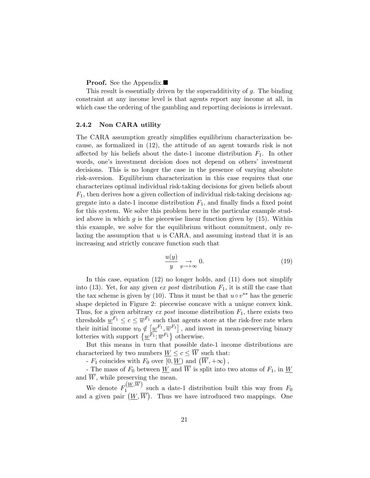**Proof.** See the Appendix.■

This result is essentially driven by the superadditivity of g. The binding constraint at any income level is that agents report any income at all, in which case the ordering of the gambling and reporting decisions is irrelevant.

#### 2.4.2 Non CARA utility

The CARA assumption greatly simplifies equilibrium characterization because, as formalized in (12), the attitude of an agent towards risk is not affected by his beliefs about the date-1 income distribution  $F_1$ . In other words, one's investment decision does not depend on others' investment decisions. This is no longer the case in the presence of varying absolute risk-aversion. Equilibrium characterization in this case requires that one characterizes optimal individual risk-taking decisions for given beliefs about  $F_1$ , then derives how a given collection of individual risk-taking decisions aggregate into a date-1 income distribution  $F_1$ , and finally finds a fixed point for this system. We solve this problem here in the particular example studied above in which  $g$  is the piecewise linear function given by  $(15)$ . Within this example, we solve for the equilibrium without commitment, only relaxing the assumption that  $u$  is CARA, and assuming instead that it is an increasing and strictly concave function such that

$$
\frac{u(y)}{y} \underset{y \to +\infty}{\to} 0. \tag{19}
$$

In this case, equation (12) no longer holds, and (11) does not simplify into (13). Yet, for any given ex post distribution  $F_1$ , it is still the case that the tax scheme is given by (10). Thus it must be that  $u \circ v^{**}$  has the generic shape depicted in Figure 2: piecewise concave with a unique convex kink. Thus, for a given arbitrary ex post income distribution  $F_1$ , there exists two thresholds  $\underline{w}^{F_1} \leq c \leq \overline{w}^{F_1}$  such that agents store at the risk-free rate when their initial income  $w_0 \notin \left[w^{F_1}, \overline{w}^{F_1}\right]$ , and invest in mean-preserving binary lotteries with support  $\{\underline{w}^{\overline{F}_1}; \overline{w}^{F_1}\}\)$  otherwise.

But this means in turn that possible date-1 income distributions are characterized by two numbers  $W \leq c \leq \overline{W}$  such that:

-  $F_1$  coincides with  $F_0$  over  $[0, \underline{W})$  and  $(\overline{W}, +\infty)$ ,

- The mass of  $F_0$  between  $\underline{W}$  and  $\overline{W}$  is split into two atoms of  $F_1$ , in  $\underline{W}$ and  $\overline{W}$ , while preserving the mean.

We denote  $F_1^{(\underline{W},\overline{W})}$ such a date-1 distribution built this way from  $F_0$ and a given pair  $(\underline{W}, \overline{W})$ . Thus we have introduced two mappings. One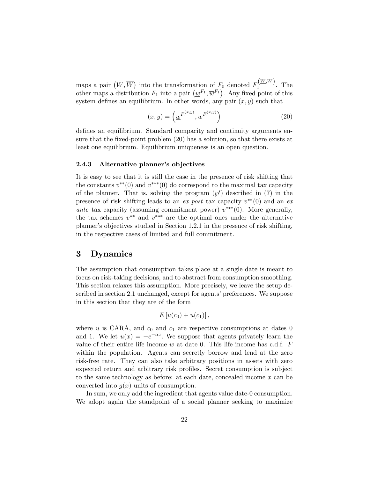maps a pair  $(\underline{W}, \overline{W})$  into the transformation of  $F_0$  denoted  $F_1^{(\underline{W}, \overline{W})}$  $\frac{1}{1}$ . The other maps a distribution  $F_1$  into a pair  $(\underline{w}^{F_1}, \overline{w}^{F_1})$ . Any fixed point of this system defines an equilibrium. In other words, any pair  $(x, y)$  such that

$$
(x,y) = \left(\underline{w}^{F_1^{(x,y)}}, \overline{w}^{F_1^{(x,y)}}\right) \tag{20}
$$

defines an equilibrium. Standard compacity and continuity arguments ensure that the fixed-point problem  $(20)$  has a solution, so that there exists at least one equilibrium. Equilibrium uniqueness is an open question.

#### 2.4.3 Alternative planner's objectives

It is easy to see that it is still the case in the presence of risk shifting that the constants  $v^{**}(0)$  and  $v^{***}(0)$  do correspond to the maximal tax capacity of the planner. That is, solving the program  $({\wp}')$  described in (7) in the presence of risk shifting leads to an ex post tax capacity  $v^{**}(0)$  and an ex ante tax capacity (assuming commitment power)  $v^{***}(0)$ . More generally, the tax schemes  $v^{**}$  and  $v^{***}$  are the optimal ones under the alternative planner's objectives studied in Section 1.2.1 in the presence of risk shifting, in the respective cases of limited and full commitment.

## 3 Dynamics

The assumption that consumption takes place at a single date is meant to focus on risk-taking decisions, and to abstract from consumption smoothing. This section relaxes this assumption. More precisely, we leave the setup described in section 2.1 unchanged, except for agents' preferences. We suppose in this section that they are of the form

$$
E[u(c_0)+u(c_1)],
$$

where  $u$  is CARA, and  $c_0$  and  $c_1$  are respective consumptions at dates 0 and 1. We let  $u(x) = -e^{-\alpha x}$ . We suppose that agents privately learn the value of their entire life income  $w$  at date 0. This life income has c.d.f.  $F$ within the population. Agents can secretly borrow and lend at the zero risk-free rate. They can also take arbitrary positions in assets with zero expected return and arbitrary risk profiles. Secret consumption is subject to the same technology as before: at each date, concealed income  $x$  can be converted into  $g(x)$  units of consumption.

In sum, we only add the ingredient that agents value date-0 consumption. We adopt again the standpoint of a social planner seeking to maximize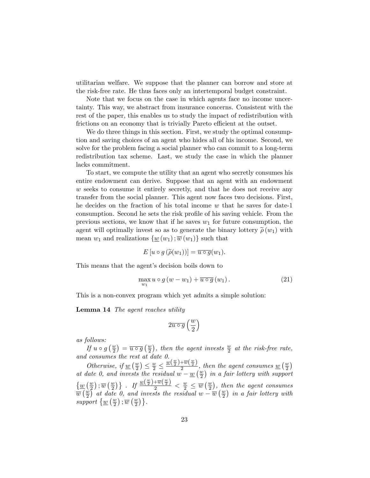utilitarian welfare. We suppose that the planner can borrow and store at the risk-free rate. He thus faces only an intertemporal budget constraint.

Note that we focus on the case in which agents face no income uncertainty. This way, we abstract from insurance concerns. Consistent with the rest of the paper, this enables us to study the impact of redistribution with frictions on an economy that is trivially Pareto efficient at the outset.

We do three things in this section. First, we study the optimal consumption and saving choices of an agent who hides all of his income. Second, we solve for the problem facing a social planner who can commit to a long-term redistribution tax scheme. Last, we study the case in which the planner lacks commitment.

To start, we compute the utility that an agent who secretly consumes his entire endowment can derive. Suppose that an agent with an endowment w seeks to consume it entirely secretly, and that he does not receive any transfer from the social planner. This agent now faces two decisions. First, he decides on the fraction of his total income  $w$  that he saves for date-1 consumption. Second he sets the risk profile of his saving vehicle. From the previous sections, we know that if he saves  $w_1$  for future consumption, the agent will optimally invest so as to generate the binary lottery  $\tilde{\rho}(w_1)$  with mean  $w_1$  and realizations  $\{w(w_1)\,\overline{w}(w_1)\}\,$  such that

$$
E[u \circ g(\widetilde{\rho}(w_1))] = \overline{u \circ g}(w_1).
$$

This means that the agent's decision boils down to

$$
\max_{w_1} u \circ g(w - w_1) + \overline{u \circ g}(w_1).
$$
 (21)

This is a non-convex program which yet admits a simple solution:

Lemma 14 The agent reaches utility

$$
2\overline{u\circ g}\left(\frac{w}{2}\right)
$$

as follows:

If  $u \circ g\left(\frac{w}{2}\right) = \overline{u \circ g}\left(\frac{w}{2}\right)$ , then the agent invests  $\frac{w}{2}$  at the risk-free rate, and consumes the rest at date 0.

Otherwise, if  $\underline{w}(\frac{w}{2}) \leq \frac{w}{2} \leq$  $\underline{w}(\frac{w}{2})$ + $\overline{w}(\frac{w}{2})$  $\frac{1+w(\frac{w}{2})}{2}$ , then the agent consumes  $\underline{w}(\frac{w}{2})$ at date 0, and invests the residual  $w - \underline{w} \left( \frac{w}{2} \right)$  in a fair lottery with support  $\{\underline{w}\left(\frac{w}{2}\right); \overline{w}\left(\frac{w}{2}\right)\}\right.$  If  $\frac{\underline{w}\left(\frac{w}{2}\right)+\overline{w}\left(\frac{w}{2}\right)}{2} < \frac{w}{2} \leq \overline{w}\left(\frac{w}{2}\right)$ , then the agent consumes  $\frac{\partial}{\partial w} \left( \frac{\dot{w}}{2} \right)^{\gamma}$  at date 0, and invests the residual  $w - \overline{w} \left( \frac{w}{2} \right)$  in a fair lottery with support  $\{\underline{w}(\frac{w}{2}); \overline{w}(\frac{w}{2})\}.$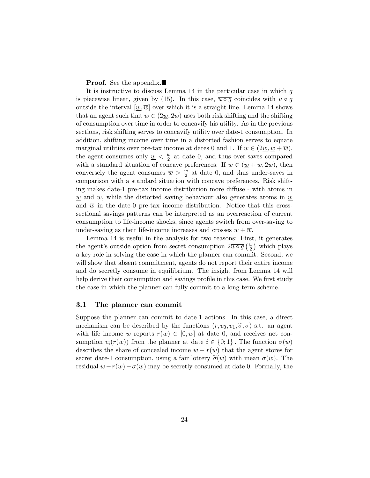#### **Proof.** See the appendix.■

It is instructive to discuss Lemma 14 in the particular case in which  $g$ is piecewise linear, given by (15). In this case,  $\overline{u \circ g}$  coincides with  $u \circ g$ outside the interval  $[\underline{w}, \overline{w}]$  over which it is a straight line. Lemma 14 shows that an agent such that  $w \in (2w, 2\overline{w})$  uses both risk shifting and the shifting of consumption over time in order to concavify his utility. As in the previous sections, risk shifting serves to concavify utility over date-1 consumption. In addition, shifting income over time in a distorted fashion serves to equate marginal utilities over pre-tax income at dates 0 and 1. If  $w \in (2\underline{w}, \underline{w} + \overline{w}),$ the agent consumes only  $\frac{w}{2} < \frac{w}{2}$  $\frac{w}{2}$  at date 0, and thus over-saves compared with a standard situation of concave preferences. If  $w \in (\underline{w} + \overline{w}, 2\overline{w})$ , then conversely the agent consumes  $\overline{w} > \frac{w}{2}$  at date 0, and thus under-saves in comparison with a standard situation with concave preferences. Risk shifting makes date-1 pre-tax income distribution more diffuse - with atoms in w and  $\overline{w}$ , while the distorted saving behaviour also generates atoms in w and  $\bar{w}$  in the date-0 pre-tax income distribution. Notice that this crosssectional savings patterns can be interpreted as an overreaction of current consumption to life-income shocks, since agents switch from over-saving to under-saving as their life-income increases and crosses  $w + \overline{w}$ .

Lemma 14 is useful in the analysis for two reasons: First, it generates the agent's outside option from secret consumption  $2\overline{u\circ g}(\frac{w}{2})$  which plays a key role in solving the case in which the planner can commit. Second, we will show that absent commitment, agents do not report their entire income and do secretly consume in equilibrium. The insight from Lemma 14 will help derive their consumption and savings profile in this case. We first study the case in which the planner can fully commit to a long-term scheme.

#### 3.1 The planner can commit

Suppose the planner can commit to date-1 actions. In this case, a direct mechanism can be described by the functions  $(r, v_0, v_1, \tilde{\sigma}, \sigma)$  s.t. an agent with life income w reports  $r(w) \in [0, w]$  at date 0, and receives net consumption  $v_i(r(w))$  from the planner at date  $i \in \{0, 1\}$ . The function  $\sigma(w)$ describes the share of concealed income  $w - r(w)$  that the agent stores for secret date-1 consumption, using a fair lottery  $\tilde{\sigma}(w)$  with mean  $\sigma(w)$ . The residual  $w-r(w)-\sigma(w)$  may be secretly consumed at date 0. Formally, the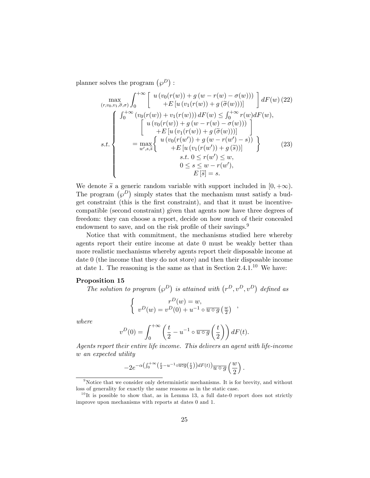planner solves the program  $(\wp^D)$ :

$$
\max_{(r,v_0,v_1,\tilde{\sigma},\sigma)} \int_0^{+\infty} \left[ u \left( v_0(r(w)) + g \left( w - r(w) - \sigma(w) \right) \right) \right] dF(w) (22)
$$
\n
$$
+ E \left[ u \left( v_1(r(w)) + g \left( \tilde{\sigma}(w) \right) \right) \right] dF(w) (22)
$$
\n
$$
\int_0^{+\infty} \left( v_0(r(w)) + v_1(r(w)) \right) dF(w) \leq \int_0^{+\infty} r(w) dF(w),
$$
\n
$$
\left[ u \left( v_0(r(w)) + g \left( w - r(w) - \sigma(w) \right) \right) \right] + E \left[ u \left( v_1(r(w)) + g \left( \tilde{\sigma}(w) \right) \right) \right]
$$
\n
$$
= \max_{w',s,\tilde{s}} \left\{ u \left( v_0(r(w')) + g \left( w - r(w') - s \right) \right) + E \left[ u \left( v_1(r(w')) + g \left( \tilde{s} \right) \right) \right] \right\}
$$
\n
$$
= \sum_{w',s,\tilde{s}} \left\{ v \left( v_0(r(w')) + g \left( w - r(w') - s \right) \right) + E \left[ u \left( v_1(r(w')) + g \left( \tilde{s} \right) \right) \right] \right\}
$$
\n
$$
= \sum_{w',s,\tilde{s}} \left\{ v \left( v \right) \leq v, \left( v \right) \leq w, \left( v \right) \leq w, \left( v \right) \leq w \right\}
$$
\n
$$
= \left[ \tilde{s} \right] = s.
$$
\n(23)

We denote  $\tilde{s}$  a generic random variable with support included in  $[0, +\infty)$ . The program  $(\wp^D)$  simply states that the mechanism must satisfy a budget constraint (this is the first constraint), and that it must be incentivecompatible (second constraint) given that agents now have three degrees of freedom: they can choose a report, decide on how much of their concealed endowment to save, and on the risk profile of their savings. $9$ 

Notice that with commitment, the mechanisms studied here whereby agents report their entire income at date 0 must be weakly better than more realistic mechanisms whereby agents report their disposable income at date 0 (the income that they do not store) and then their disposable income at date 1. The reasoning is the same as that in Section  $2.4.1^{10}$  We have:

#### Proposition 15

The solution to program  $(\wp^D)$  is attained with  $(r^D, v^D, v^D)$  defined as

$$
\begin{cases}\n r^D(w) = w, \\
 v^D(w) = v^D(0) + u^{-1} \circ \overline{u \circ g} \left(\frac{w}{2}\right) \end{cases}
$$

where

$$
v^{D}(0) = \int_0^{+\infty} \left(\frac{t}{2} - u^{-1} \circ \overline{u \circ g}\left(\frac{t}{2}\right)\right) dF(t).
$$

Agents report their entire life income. This delivers an agent with life-income w an expected utility

$$
-2e^{-\alpha\left(\int_0^{+\infty}\left(\frac{t}{2}-u^{-1}\circ\overline{u\circ g}\left(\frac{t}{2}\right)\right)dF(t)\right)}\overline{u\circ g}\left(\frac{w}{2}\right).
$$

 $9$ Notice that we consider only deterministic mechanisms. It is for brevity, and without loss of generality for exactly the same reasons as in the static case.

 $10$ It is possible to show that, as in Lemma 13, a full date-0 report does not strictly improve upon mechanisms with reports at dates 0 and 1.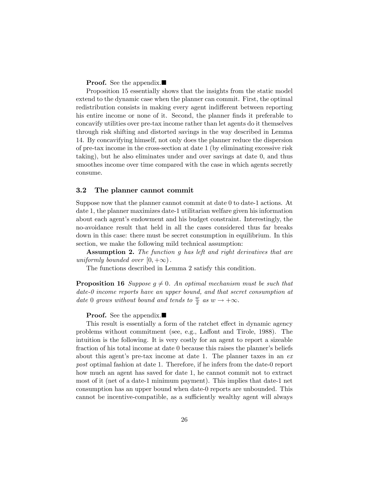**Proof.** See the appendix.■

Proposition 15 essentially shows that the insights from the static model extend to the dynamic case when the planner can commit. First, the optimal redistribution consists in making every agent indifferent between reporting his entire income or none of it. Second, the planner finds it preferable to concavify utilities over pre-tax income rather than let agents do it themselves through risk shifting and distorted savings in the way described in Lemma 14. By concavifying himself, not only does the planner reduce the dispersion of pre-tax income in the cross-section at date 1 (by eliminating excessive risk taking), but he also eliminates under and over savings at date 0, and thus smoothes income over time compared with the case in which agents secretly consume.

#### 3.2 The planner cannot commit

Suppose now that the planner cannot commit at date 0 to date-1 actions. At date 1, the planner maximizes date-1 utilitarian welfare given his information about each agent's endowment and his budget constraint. Interestingly, the no-avoidance result that held in all the cases considered thus far breaks down in this case: there must be secret consumption in equilibrium. In this section, we make the following mild technical assumption:

Assumption 2. The function g has left and right derivatives that are uniformly bounded over  $[0, +\infty)$ .

The functions described in Lemma 2 satisfy this condition.

**Proposition 16** Suppose  $q \neq 0$ . An optimal mechanism must be such that date-0 income reports have an upper bound, and that secret consumption at date 0 grows without bound and tends to  $\frac{w}{2}$  as  $w \to +\infty$ .

#### **Proof.** See the appendix. $\blacksquare$

This result is essentially a form of the ratchet effect in dynamic agency problems without commitment (see, e.g., Laffont and Tirole, 1988). The intuition is the following. It is very costly for an agent to report a sizeable fraction of his total income at date 0 because this raises the planner's beliefs about this agent's pre-tax income at date 1. The planner taxes in an  $ex$ post optimal fashion at date 1. Therefore, if he infers from the date-0 report how much an agent has saved for date 1, he cannot commit not to extract most of it (net of a date-1 minimum payment). This implies that date-1 net consumption has an upper bound when date-0 reports are unbounded. This cannot be incentive-compatible, as a sufficiently wealthy agent will always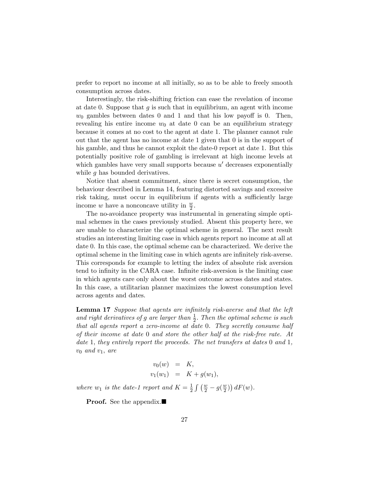prefer to report no income at all initially, so as to be able to freely smooth consumption across dates.

Interestingly, the risk-shifting friction can ease the revelation of income at date 0. Suppose that  $g$  is such that in equilibrium, an agent with income  $w_0$  gambles between dates 0 and 1 and that his low payoff is 0. Then, revealing his entire income  $w_0$  at date 0 can be an equilibrium strategy because it comes at no cost to the agent at date 1. The planner cannot rule out that the agent has no income at date 1 given that 0 is in the support of his gamble, and thus he cannot exploit the date-0 report at date 1. But this potentially positive role of gambling is irrelevant at high income levels at which gambles have very small supports because  $u'$  decreases exponentially while  $q$  has bounded derivatives.

Notice that absent commitment, since there is secret consumption, the behaviour described in Lemma 14, featuring distorted savings and excessive risk taking, must occur in equilibrium if agents with a sufficiently large income w have a nonconcave utility in  $\frac{w}{2}$ .

The no-avoidance property was instrumental in generating simple optimal schemes in the cases previously studied. Absent this property here, we are unable to characterize the optimal scheme in general. The next result studies an interesting limiting case in which agents report no income at all at date 0. In this case, the optimal scheme can be characterized. We derive the optimal scheme in the limiting case in which agents are infinitely risk-averse. This corresponds for example to letting the index of absolute risk aversion tend to infinity in the CARA case. Infinite risk-aversion is the limiting case in which agents care only about the worst outcome across dates and states. In this case, a utilitarian planner maximizes the lowest consumption level across agents and dates.

**Lemma 17** Suppose that agents are infinitely risk-averse and that the left and right derivatives of g are larger than  $\frac{1}{2}$ . Then the optimal scheme is such that all agents report a zero-income at date 0. They secretly consume half of their income at date 0 and store the other half at the risk-free rate. At date 1, they entirely report the proceeds. The net transfers at dates  $0$  and  $1$ ,  $v_0$  and  $v_1$ , are

$$
v_0(w) = K,
$$
  

$$
v_1(w_1) = K + g(w_1),
$$

where  $w_1$  is the date-1 report and  $K = \frac{1}{2}$  $rac{1}{2} \int \left(\frac{w}{2} - g\left(\frac{w}{2}\right)\right)$  $\frac{w}{2})$ )  $dF(w)$ .

**Proof.** See the appendix.■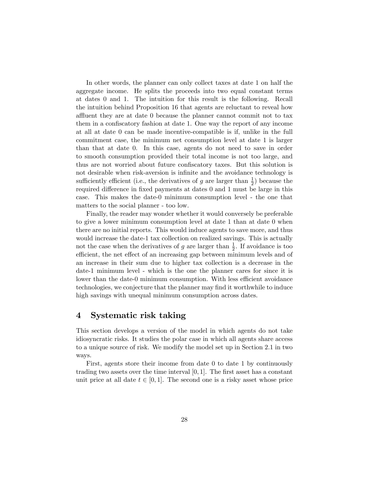In other words, the planner can only collect taxes at date 1 on half the aggregate income. He splits the proceeds into two equal constant terms at dates 0 and 1. The intuition for this result is the following. Recall the intuition behind Proposition 16 that agents are reluctant to reveal how affluent they are at date  $0$  because the planner cannot commit not to tax them in a confiscatory fashion at date 1. One way the report of any income at all at date 0 can be made incentive-compatible is if, unlike in the full commitment case, the minimum net consumption level at date 1 is larger than that at date 0. In this case, agents do not need to save in order to smooth consumption provided their total income is not too large, and thus are not worried about future confiscatory taxes. But this solution is not desirable when risk-aversion is infinite and the avoidance technology is sufficiently efficient (i.e., the derivatives of g are larger than  $\frac{1}{2}$ ) because the required difference in fixed payments at dates 0 and 1 must be large in this case. This makes the date-0 minimum consumption level - the one that matters to the social planner - too low.

Finally, the reader may wonder whether it would conversely be preferable to give a lower minimum consumption level at date 1 than at date 0 when there are no initial reports. This would induce agents to save more, and thus would increase the date-1 tax collection on realized savings. This is actually not the case when the derivatives of g are larger than  $\frac{1}{2}$ . If avoidance is too efficient, the net effect of an increasing gap between minimum levels and of an increase in their sum due to higher tax collection is a decrease in the date-1 minimum level - which is the one the planner cares for since it is lower than the date-0 minimum consumption. With less efficient avoidance technologies, we conjecture that the planner may find it worthwhile to induce high savings with unequal minimum consumption across dates.

## 4 Systematic risk taking

This section develops a version of the model in which agents do not take idiosyncratic risks. It studies the polar case in which all agents share access to a unique source of risk. We modify the model set up in Section 2.1 in two ways.

First, agents store their income from date 0 to date 1 by continuously trading two assets over the time interval  $[0, 1]$ . The first asset has a constant unit price at all date  $t \in [0, 1]$ . The second one is a risky asset whose price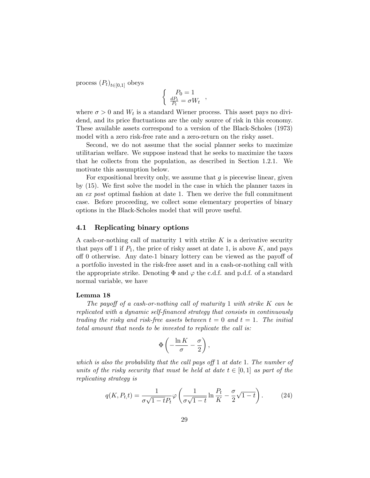process  $(P_t)_{t\in[0,1]}$  obeys

$$
\left\{ \begin{array}{c} P_0 = 1 \\ \frac{dP_t}{P_t} = \sigma W_t \end{array} \right.,
$$

where  $\sigma > 0$  and  $W_t$  is a standard Wiener process. This asset pays no dividend, and its price fluctuations are the only source of risk in this economy. These available assets correspond to a version of the Black-Scholes (1973) model with a zero risk-free rate and a zero-return on the risky asset.

Second, we do not assume that the social planner seeks to maximize utilitarian welfare. We suppose instead that he seeks to maximize the taxes that he collects from the population, as described in Section 1.2.1. We motivate this assumption below.

For expositional brevity only, we assume that  $g$  is piecewise linear, given by (15). We first solve the model in the case in which the planner taxes in an ex post optimal fashion at date 1. Then we derive the full commitment case. Before proceeding, we collect some elementary properties of binary options in the Black-Scholes model that will prove useful.

#### 4.1 Replicating binary options

A cash-or-nothing call of maturity 1 with strike  $K$  is a derivative security that pays of 1 if  $P_1$ , the price of risky asset at date 1, is above  $K$ , and pays of 0 otherwise. Any date-1 binary lottery can be viewed as the payoff of a portfolio invested in the risk-free asset and in a cash-or-nothing call with the appropriate strike. Denoting  $\Phi$  and  $\varphi$  the c.d.f. and p.d.f. of a standard normal variable, we have

#### Lemma 18

The payoff of a cash-or-nothing call of maturity 1 with strike  $K$  can be replicated with a dynamic self-Önanced strategy that consists in continuously trading the risky and risk-free assets between  $t = 0$  and  $t = 1$ . The initial total amount that needs to be invested to replicate the call is:

$$
\Phi\left(-\frac{\ln K}{\sigma}-\frac{\sigma}{2}\right),
$$

which is also the probability that the call pays of  $\beta$  1 at date 1. The number of units of the risky security that must be held at date  $t \in [0, 1]$  as part of the replicating strategy is

$$
q(K, P_t, t) = \frac{1}{\sigma\sqrt{1 - t}P_t} \varphi \left(\frac{1}{\sigma\sqrt{1 - t}}\ln\frac{P_t}{K} - \frac{\sigma}{2}\sqrt{1 - t}\right). \tag{24}
$$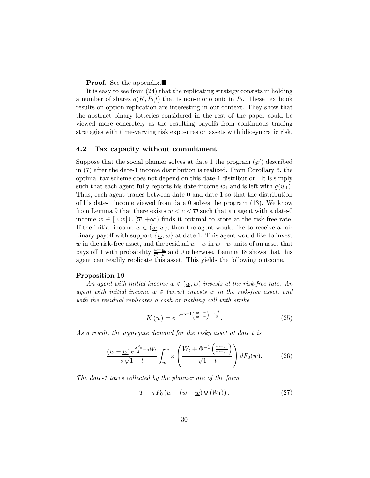**Proof.** See the appendix.■

It is easy to see from (24) that the replicating strategy consists in holding a number of shares  $q(K, P_t, t)$  that is non-monotonic in  $P_t$ . These textbook results on option replication are interesting in our context. They show that the abstract binary lotteries considered in the rest of the paper could be viewed more concretely as the resulting payoffs from continuous trading strategies with time-varying risk exposures on assets with idiosyncratic risk.

#### 4.2 Tax capacity without commitment

Suppose that the social planner solves at date 1 the program  $(\wp')$  described in (7) after the date-1 income distribution is realized. From Corollary 6, the optimal tax scheme does not depend on this date-1 distribution. It is simply such that each agent fully reports his date-income  $w_1$  and is left with  $g(w_1)$ . Thus, each agent trades between date 0 and date 1 so that the distribution of his date-1 income viewed from date 0 solves the program (13). We know from Lemma 9 that there exists  $\underline{w} < c < \overline{w}$  such that an agent with a date-0 income  $w \in [0, \underline{w}] \cup [\overline{w}, +\infty)$  finds it optimal to store at the risk-free rate. If the initial income  $w \in (\underline{w}, \overline{w})$ , then the agent would like to receive a fair binary payoff with support  $\{\underline{w}; \overline{w}\}\$ at date 1. This agent would like to invest w in the risk-free asset, and the residual  $w - \underline{w}$  in  $\overline{w} - \underline{w}$  units of an asset that pays off 1 with probability  $\frac{w-w}{w-w}$  and 0 otherwise. Lemma 18 shows that this agent can readily replicate this asset. This yields the following outcome.

#### Proposition 19

An agent with initial income  $w \notin (w, \overline{w})$  invests at the risk-free rate. An agent with initial income  $w \in (w, \overline{w})$  invests w in the risk-free asset, and with the residual replicates a cash-or-nothing call with strike

$$
K(w) = e^{-\sigma \Phi^{-1} \left(\frac{w - w}{\overline{w} - \underline{w}}\right) - \frac{\sigma^2}{2}}.
$$
\n(25)

As a result, the aggregate demand for the risky asset at date t is

$$
\frac{(\overline{w} - \underline{w}) e^{\frac{\sigma^2 t}{2} - \sigma W_t}}{\sigma \sqrt{1 - t}} \int_{\underline{w}}^{\overline{w}} \varphi \left( \frac{W_t + \Phi^{-1} \left( \frac{w - \underline{w}}{\overline{w} - \underline{w}} \right)}{\sqrt{1 - t}} \right) dF_0(w). \tag{26}
$$

The date-1 taxes collected by the planner are of the form

$$
T - \tau F_0 \left( \overline{w} - \left( \overline{w} - \underline{w} \right) \Phi \left( W_1 \right) \right), \tag{27}
$$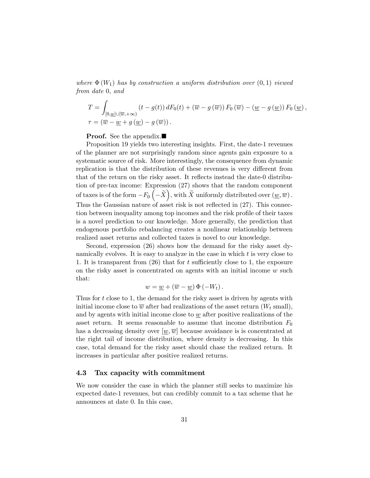where  $\Phi(W_1)$  has by construction a uniform distribution over  $(0, 1)$  viewed from date 0; and

$$
T = \int_{[0,\underline{w}]\cup[\overline{w},+\infty)} (t - g(t)) dF_0(t) + (\overline{w} - g(\overline{w})) F_0(\overline{w}) - (\underline{w} - g(\underline{w})) F_0(\underline{w}),
$$
  

$$
\tau = (\overline{w} - \underline{w} + g(\underline{w}) - g(\overline{w})).
$$

**Proof.** See the appendix.

Proposition 19 yields two interesting insights. First, the date-1 revenues of the planner are not surprisingly random since agents gain exposure to a systematic source of risk. More interestingly, the consequence from dynamic replication is that the distribution of these revenues is very different from that of the return on the risky asset. It reflects instead the date-0 distribution of pre-tax income: Expression (27) shows that the random component of taxes is of the form  $-F_0\left(-\widetilde{X}\right)$ , with  $\widetilde{X}$  uniformly distributed over  $(\underline{w}, \overline{w})$ . Thus the Gaussian nature of asset risk is not reflected in  $(27)$ . This connection between inequality among top incomes and the risk profile of their taxes is a novel prediction to our knowledge. More generally, the prediction that endogenous portfolio rebalancing creates a nonlinear relationship between realized asset returns and collected taxes is novel to our knowledge.

Second, expression (26) shows how the demand for the risky asset dynamically evolves. It is easy to analyze in the case in which  $t$  is very close to 1. It is transparent from  $(26)$  that for t sufficiently close to 1, the exposure on the risky asset is concentrated on agents with an initial income w such that:

$$
w = \underline{w} + (\overline{w} - \underline{w}) \Phi(-W_t).
$$

Thus for  $t$  close to 1, the demand for the risky asset is driven by agents with initial income close to  $\overline{w}$  after bad realizations of the asset return  $(W_t \text{ small})$ , and by agents with initial income close to  $\underline{w}$  after positive realizations of the asset return. It seems reasonable to assume that income distribution  $F_0$ has a decreasing density over  $[w, \overline{w}]$  because avoidance is is concentrated at the right tail of income distribution, where density is decreasing. In this case, total demand for the risky asset should chase the realized return. It increases in particular after positive realized returns.

#### 4.3 Tax capacity with commitment

We now consider the case in which the planner still seeks to maximize his expected date-1 revenues, but can credibly commit to a tax scheme that he announces at date 0: In this case,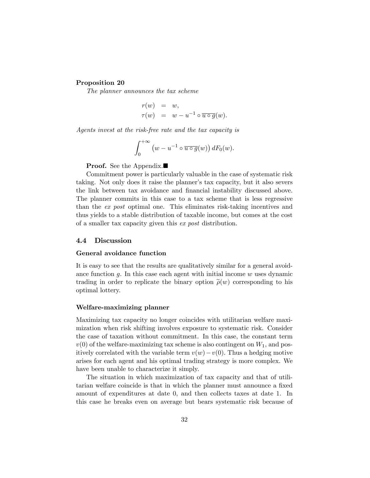#### Proposition 20

The planner announces the tax scheme

$$
r(w) = w,
$$
  
\n
$$
\tau(w) = w - u^{-1} \circ \overline{u \circ g}(w).
$$

Agents invest at the risk-free rate and the tax capacity is

$$
\int_0^{+\infty} \left( w - u^{-1} \circ \overline{u \circ g}(w) \right) dF_0(w).
$$

**Proof.** See the Appendix.■

Commitment power is particularly valuable in the case of systematic risk taking. Not only does it raise the planner's tax capacity, but it also severs the link between tax avoidance and financial instability discussed above. The planner commits in this case to a tax scheme that is less regressive than the ex post optimal one. This eliminates risk-taking incentives and thus yields to a stable distribution of taxable income, but comes at the cost of a smaller tax capacity given this ex post distribution.

#### 4.4 Discussion

#### General avoidance function

It is easy to see that the results are qualitatively similar for a general avoidance function g. In this case each agent with initial income  $w$  uses dynamic trading in order to replicate the binary option  $\tilde{\rho}(w)$  corresponding to his optimal lottery.

#### Welfare-maximizing planner

Maximizing tax capacity no longer coincides with utilitarian welfare maximization when risk shifting involves exposure to systematic risk. Consider the case of taxation without commitment. In this case, the constant term  $v(0)$  of the welfare-maximizing tax scheme is also contingent on  $W_1$ , and positively correlated with the variable term  $v(w)-v(0)$ . Thus a hedging motive arises for each agent and his optimal trading strategy is more complex. We have been unable to characterize it simply.

The situation in which maximization of tax capacity and that of utilitarian welfare coincide is that in which the planner must announce a fixed amount of expenditures at date 0, and then collects taxes at date 1. In this case he breaks even on average but bears systematic risk because of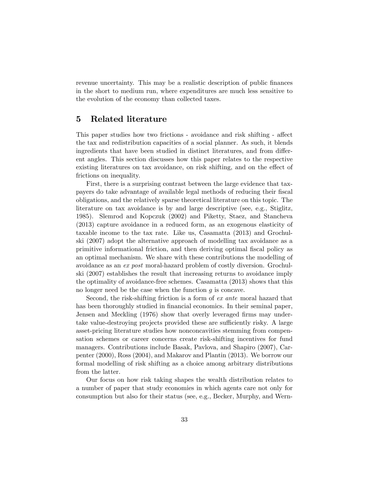revenue uncertainty. This may be a realistic description of public finances in the short to medium run, where expenditures are much less sensitive to the evolution of the economy than collected taxes.

## 5 Related literature

This paper studies how two frictions - avoidance and risk shifting - affect the tax and redistribution capacities of a social planner. As such, it blends ingredients that have been studied in distinct literatures, and from different angles. This section discusses how this paper relates to the respective existing literatures on tax avoidance, on risk shifting, and on the effect of frictions on inequality.

First, there is a surprising contrast between the large evidence that taxpayers do take advantage of available legal methods of reducing their fiscal obligations, and the relatively sparse theoretical literature on this topic. The literature on tax avoidance is by and large descriptive (see, e.g., Stiglitz, 1985). Slemrod and Kopczuk (2002) and Piketty, Staez, and Stancheva (2013) capture avoidance in a reduced form, as an exogenous elasticity of taxable income to the tax rate. Like us, Casamatta (2013) and Grochulski (2007) adopt the alternative approach of modelling tax avoidance as a primitive informational friction, and then deriving optimal fiscal policy as an optimal mechanism. We share with these contributions the modelling of avoidance as an ex post moral-hazard problem of costly diversion. Grochulski (2007) establishes the result that increasing returns to avoidance imply the optimality of avoidance-free schemes. Casamatta (2013) shows that this no longer need be the case when the function  $g$  is concave.

Second, the risk-shifting friction is a form of ex ante moral hazard that has been thoroughly studied in financial economics. In their seminal paper, Jensen and Meckling (1976) show that overly leveraged firms may undertake value-destroying projects provided these are sufficiently risky. A large asset-pricing literature studies how nonconcavities stemming from compensation schemes or career concerns create risk-shifting incentives for fund managers. Contributions include Basak, Pavlova, and Shapiro (2007), Carpenter (2000), Ross (2004), and Makarov and Plantin (2013). We borrow our formal modelling of risk shifting as a choice among arbitrary distributions from the latter.

Our focus on how risk taking shapes the wealth distribution relates to a number of paper that study economies in which agents care not only for consumption but also for their status (see, e.g., Becker, Murphy, and Wern-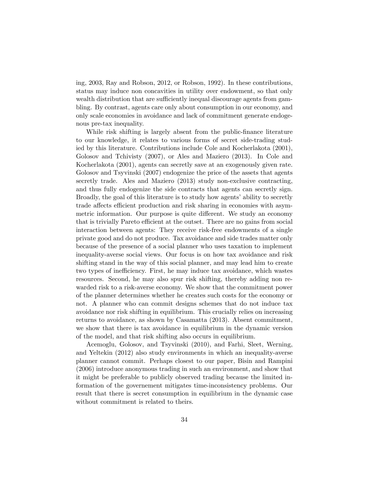ing, 2003, Ray and Robson, 2012, or Robson, 1992). In these contributions, status may induce non concavities in utility over endowment, so that only wealth distribution that are sufficiently inequal discourage agents from gambling. By contrast, agents care only about consumption in our economy, and only scale economies in avoidance and lack of commitment generate endogenous pre-tax inequality.

While risk shifting is largely absent from the public-finance literature to our knowledge, it relates to various forms of secret side-trading studied by this literature. Contributions include Cole and Kocherlakota (2001), Golosov and Tchivisty (2007), or Ales and Maziero (2013). In Cole and Kocherlakota (2001), agents can secretly save at an exogenously given rate. Golosov and Tsyvinski (2007) endogenize the price of the assets that agents secretly trade. Ales and Maziero (2013) study non-exclusive contracting, and thus fully endogenize the side contracts that agents can secretly sign. Broadly, the goal of this literature is to study how agents' ability to secretly trade affects efficient production and risk sharing in economies with asymmetric information. Our purpose is quite different. We study an economy that is trivially Pareto efficient at the outset. There are no gains from social interaction between agents: They receive risk-free endowments of a single private good and do not produce. Tax avoidance and side trades matter only because of the presence of a social planner who uses taxation to implement inequality-averse social views. Our focus is on how tax avoidance and risk shifting stand in the way of this social planner, and may lead him to create two types of inefficiency. First, he may induce tax avoidance, which wastes resources. Second, he may also spur risk shifting, thereby adding non rewarded risk to a risk-averse economy. We show that the commitment power of the planner determines whether he creates such costs for the economy or not. A planner who can commit designs schemes that do not induce tax avoidance nor risk shifting in equilibrium. This crucially relies on increasing returns to avoidance, as shown by Casamatta (2013). Absent commitment, we show that there is tax avoidance in equilibrium in the dynamic version of the model, and that risk shifting also occurs in equilibrium.

Acemoglu, Golosov, and Tsyvinski (2010), and Farhi, Sleet, Werning, and Yeltekin (2012) also study environments in which an inequality-averse planner cannot commit. Perhaps closest to our paper, Bisin and Rampini (2006) introduce anonymous trading in such an environment, and show that it might be preferable to publicly observed trading because the limited information of the governement mitigates time-inconsistency problems. Our result that there is secret consumption in equilibrium in the dynamic case without commitment is related to theirs.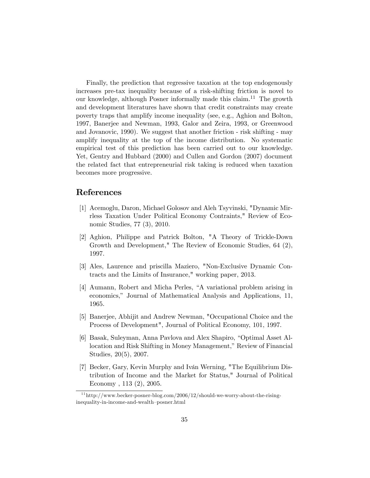Finally, the prediction that regressive taxation at the top endogenously increases pre-tax inequality because of a risk-shifting friction is novel to our knowledge, although Posner informally made this claim.<sup>11</sup> The growth and development literatures have shown that credit constraints may create poverty traps that amplify income inequality (see, e.g., Aghion and Bolton, 1997, Banerjee and Newman, 1993, Galor and Zeira, 1993, or Greenwood and Jovanovic, 1990). We suggest that another friction - risk shifting - may amplify inequality at the top of the income distribution. No systematic empirical test of this prediction has been carried out to our knowledge. Yet, Gentry and Hubbard (2000) and Cullen and Gordon (2007) document the related fact that entrepreneurial risk taking is reduced when taxation becomes more progressive.

## References

- [1] Acemoglu, Daron, Michael Golosov and Aleh Tsyvinski, "Dynamic Mirrless Taxation Under Political Economy Contraints," Review of Economic Studies, 77 (3), 2010.
- [2] Aghion, Philippe and Patrick Bolton, "A Theory of Trickle-Down Growth and Development," The Review of Economic Studies, 64 (2), 1997.
- [3] Ales, Laurence and priscilla Maziero, "Non-Exclusive Dynamic Contracts and the Limits of Insurance," working paper, 2013.
- [4] Aumann, Robert and Micha Perles, "A variational problem arising in economics," Journal of Mathematical Analysis and Applications, 11, 1965.
- [5] Banerjee, Abhijit and Andrew Newman, "Occupational Choice and the Process of Development", Journal of Political Economy, 101, 1997.
- [6] Basak, Suleyman, Anna Pavlova and Alex Shapiro, "Optimal Asset Allocation and Risk Shifting in Money Management," Review of Financial Studies, 20(5), 2007.
- [7] Becker, Gary, Kevin Murphy and Iván Werning, "The Equilibrium Distribution of Income and the Market for Status," Journal of Political Economy , 113 (2), 2005.

<sup>11</sup>http://www.becker-posner-blog.com/2006/12/should-we-worry-about-the-risinginequality-in-income-and-wealth-posner.html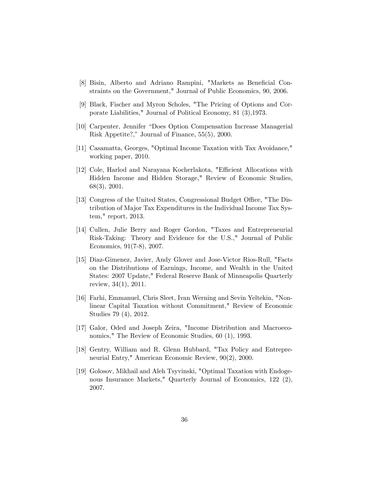- [8] Bisin, Alberto and Adriano Rampini, "Markets as Beneficial Constraints on the Government," Journal of Public Economics, 90, 2006.
- [9] Black, Fischer and Myron Scholes, "The Pricing of Options and Corporate Liabilities," Journal of Political Economy, 81 (3),1973.
- [10] Carpenter, Jennifer "Does Option Compensation Increase Managerial Risk Appetite?," Journal of Finance, 55(5), 2000.
- [11] Casamatta, Georges, "Optimal Income Taxation with Tax Avoidance," working paper, 2010.
- [12] Cole, Harlod and Narayana Kocherlakota, "Efficient Allocations with Hidden Income and Hidden Storage," Review of Economic Studies, 68(3), 2001.
- [13] Congress of the United States, Congressional Budget Office, "The Distribution of Major Tax Expenditures in the Individual Income Tax System," report, 2013.
- [14] Cullen, Julie Berry and Roger Gordon, "Taxes and Entrepreneurial Risk-Taking: Theory and Evidence for the U.S.," Journal of Public Economics, 91(7-8), 2007.
- [15] Diaz-Gimenez, Javier, Andy Glover and Jose-Victor Rios-Rull, "Facts on the Distributions of Earnings, Income, and Wealth in the United States: 2007 Update," Federal Reserve Bank of Minneapolis Quarterly review, 34(1), 2011.
- [16] Farhi, Emmanuel, Chris Sleet, Ivan Werning and Sevin Yeltekin, "Nonlinear Capital Taxation without Commitment," Review of Economic Studies 79 (4), 2012.
- [17] Galor, Oded and Joseph Zeira, "Income Distribution and Macroeconomics," The Review of Economic Studies, 60 (1), 1993.
- [18] Gentry, William and R. Glenn Hubbard, "Tax Policy and Entrepreneurial Entry," American Economic Review, 90(2), 2000.
- [19] Golosov, Mikhail and Aleh Tsyvinski, "Optimal Taxation with Endogenous Insurance Markets," Quarterly Journal of Economics, 122 (2), 2007.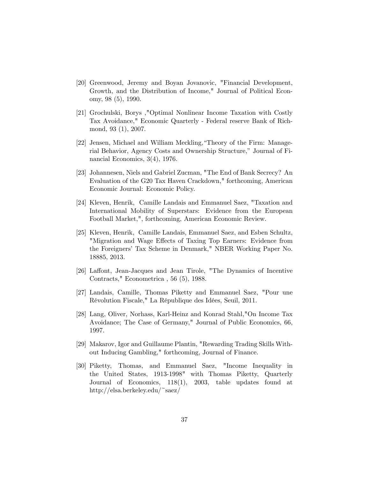- [20] Greenwood, Jeremy and Boyan Jovanovic, "Financial Development, Growth, and the Distribution of Income," Journal of Political Economy, 98 (5), 1990.
- [21] Grochulski, Borys ,"Optimal Nonlinear Income Taxation with Costly Tax Avoidance," Economic Quarterly - Federal reserve Bank of Richmond, 93 (1), 2007.
- [22] Jensen, Michael and William Meckling, "Theory of the Firm: Managerial Behavior, Agency Costs and Ownership Structure," Journal of Financial Economics, 3(4), 1976.
- [23] Johannesen, Niels and Gabriel Zucman, "The End of Bank Secrecy? An Evaluation of the G20 Tax Haven Crackdown," forthcoming, American Economic Journal: Economic Policy.
- [24] Kleven, Henrik, Camille Landais and Emmanuel Saez, "Taxation and International Mobility of Superstars: Evidence from the European Football Market,", forthcoming, American Economic Review.
- [25] Kleven, Henrik, Camille Landais, Emmanuel Saez, and Esben Schultz, "Migration and Wage Effects of Taxing Top Earners: Evidence from the Foreigners' Tax Scheme in Denmark," NBER Working Paper No. 18885, 2013.
- [26] Laffont, Jean-Jacques and Jean Tirole, "The Dynamics of Incentive Contracts," Econometrica , 56 (5), 1988.
- [27] Landais, Camille, Thomas Piketty and Emmanuel Saez, "Pour une Révolution Fiscale," La République des Idées, Seuil, 2011.
- [28] Lang, Oliver, Norhass, Karl-Heinz and Konrad Stahl,"On Income Tax Avoidance; The Case of Germany," Journal of Public Economics, 66, 1997.
- [29] Makarov, Igor and Guillaume Plantin, "Rewarding Trading Skills Without Inducing Gambling," forthcoming, Journal of Finance.
- [30] Piketty, Thomas, and Emmanuel Saez, "Income Inequality in the United States, 1913-1998" with Thomas Piketty, Quarterly Journal of Economics, 118(1), 2003, table updates found at http://elsa.berkeley.edu/~saez/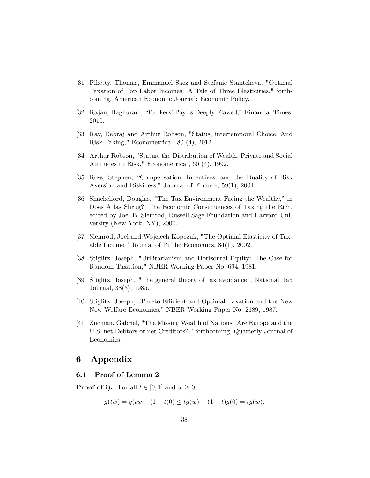- [31] Piketty, Thomas, Emmanuel Saez and Stefanie Stantcheva, "Optimal Taxation of Top Labor Incomes: A Tale of Three Elasticities," forthcoming, American Economic Journal: Economic Policy.
- [32] Rajan, Raghuram, "Bankers' Pay Is Deeply Flawed," Financial Times, 2010.
- [33] Ray, Debraj and Arthur Robson, "Status, intertemporal Choice, And Risk-Taking," Econometrica , 80 (4), 2012.
- [34] Arthur Robson, "Status, the Distribution of Wealth, Private and Social Attitudes to Risk," Econometrica , 60 (4), 1992.
- [35] Ross, Stephen, "Compensation, Incentives, and the Duality of Risk Aversion and Riskiness," Journal of Finance,  $59(1)$ ,  $2004$ .
- [36] Shackelford, Douglas, "The Tax Environment Facing the Wealthy," in Does Atlas Shrug? The Economic Consequences of Taxing the Rich, edited by Joel B. Slemrod, Russell Sage Foundation and Harvard University (New York, NY), 2000.
- [37] Slemrod, Joel and Wojciech Kopczuk, "The Optimal Elasticity of Taxable Income," Journal of Public Economics, 84(1), 2002.
- [38] Stiglitz, Joseph, "Utilitarianism and Horizontal Equity: The Case for Random Taxation," NBER Working Paper No. 694, 1981.
- [39] Stiglitz, Joseph, "The general theory of tax avoidance", National Tax Journal, 38(3), 1985.
- [40] Stiglitz, Joseph, "Pareto Efficient and Optimal Taxation and the New New Welfare Economics," NBER Working Paper No. 2189, 1987.
- [41] Zucman, Gabriel, "The Missing Wealth of Nations: Are Europe and the U.S. net Debtors or net Creditors?," forthcoming, Quarterly Journal of Economics.

## 6 Appendix

## 6.1 Proof of Lemma 2

**Proof of i).** For all  $t \in [0, 1]$  and  $w \ge 0$ ,

$$
g(tw) = g(tw + (1-t)0) \leq tg(w) + (1-t)g(0) = tg(w).
$$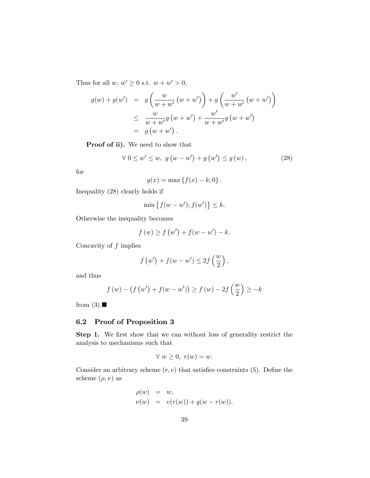Thus for all  $w, w' \geq 0$  s.t.  $w + w' > 0$ ,

$$
g(w) + g(w') = g\left(\frac{w}{w+w'}(w+w')\right) + g\left(\frac{w'}{w+w'}(w+w')\right)
$$
  

$$
\leq \frac{w}{w+w'}g(w+w') + \frac{w'}{w+w'}g(w+w')
$$
  

$$
= g(w+w').
$$

Proof of ii). We need to show that

$$
\forall 0 \le w' \le w, \ g(w - w') + g(w') \le g(w), \tag{28}
$$

for

$$
g(x) = \max \left\{ f(x) - k; 0 \right\}.
$$

Inequality (28) clearly holds if

$$
\min\big\{f(w - w'); f(w')\big\} \le k.
$$

Otherwise the inequality becomes

$$
f(w) \ge f(w') + f(w - w') - k.
$$

Concavity of  $f$  implies

$$
f(w') + f(w - w') \le 2f\left(\frac{w}{2}\right),
$$

and thus

$$
f(w) - (f(w') + f(w - w')) \ge f(w) - 2f(\frac{w}{2}) \ge -k
$$

from  $(3)$ .

## 6.2 Proof of Proposition 3

Step 1. We first show that we can without loss of generality restrict the analysis to mechanisms such that

$$
\forall w \ge 0, r(w) = w.
$$

Consider an arbitrary scheme  $(r, v)$  that satisfies constraints (5). Define the scheme  $(\rho, \nu)$  as

$$
\rho(w) = w,
$$
  
\n $\nu(w) = v(r(w)) + g(w - r(w)).$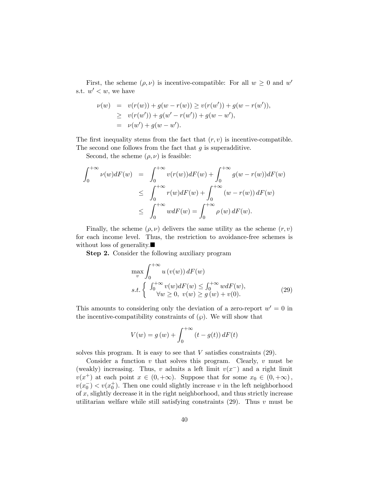First, the scheme  $(\rho, \nu)$  is incentive-compatible: For all  $w \geq 0$  and  $w'$ s.t.  $w' < w$ , we have

$$
\nu(w) = v(r(w)) + g(w - r(w)) \ge v(r(w')) + g(w - r(w')),
$$
  
\n
$$
\ge v(r(w')) + g(w' - r(w')) + g(w - w'),
$$
  
\n
$$
= \nu(w') + g(w - w').
$$

The first inequality stems from the fact that  $(r, v)$  is incentive-compatible. The second one follows from the fact that  $q$  is superadditive.

Second, the scheme  $(\rho, \nu)$  is feasible:

$$
\int_0^{+\infty} \nu(w) dF(w) = \int_0^{+\infty} v(r(w)) dF(w) + \int_0^{+\infty} g(w - r(w)) dF(w)
$$
  
\n
$$
\leq \int_0^{+\infty} r(w) dF(w) + \int_0^{+\infty} (w - r(w)) dF(w)
$$
  
\n
$$
\leq \int_0^{+\infty} w dF(w) = \int_0^{+\infty} \rho(w) dF(w).
$$

Finally, the scheme  $(\rho, \nu)$  delivers the same utility as the scheme  $(r, v)$ for each income level. Thus, the restriction to avoidance-free schemes is without loss of generality.

Step 2. Consider the following auxiliary program

$$
\max_{v} \int_{0}^{+\infty} u(v(w)) dF(w)
$$
  
s.t. 
$$
\begin{cases} \int_{0}^{+\infty} v(w) dF(w) \leq \int_{0}^{+\infty} w dF(w), \\ \forall w \geq 0, \ v(w) \geq g(w) + v(0). \end{cases}
$$
 (29)

This amounts to considering only the deviation of a zero-report  $w' = 0$  in the incentive-compatibility constraints of  $(\varphi)$ . We will show that

$$
V(w) = g(w) + \int_0^{+\infty} (t - g(t)) dF(t)
$$

solves this program. It is easy to see that  $V$  satisfies constraints  $(29)$ .

Consider a function  $v$  that solves this program. Clearly,  $v$  must be (weakly) increasing. Thus, v admits a left limit  $v(x^-)$  and a right limit  $v(x^+)$  at each point  $x \in (0, +\infty)$ . Suppose that for some  $x_0 \in (0, +\infty)$ ,  $v(x_0^-) < v(x_0^+)$ . Then one could slightly increase v in the left neighborhood of  $x$ , slightly decrease it in the right neighborhood, and thus strictly increase utilitarian welfare while still satisfying constraints  $(29)$ . Thus v must be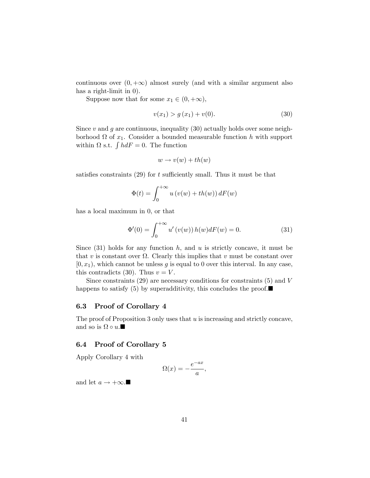continuous over  $(0, +\infty)$  almost surely (and with a similar argument also has a right-limit in 0).

Suppose now that for some  $x_1 \in (0, +\infty)$ ,

$$
v(x_1) > g(x_1) + v(0). \tag{30}
$$

Since  $v$  and  $g$  are continuous, inequality (30) actually holds over some neighborhood  $\Omega$  of  $x_1$ . Consider a bounded measurable function h with support within  $\Omega$  s.t.  $\int h dF = 0$ . The function

$$
w \to v(w) + th(w)
$$

satisfies constraints  $(29)$  for t sufficiently small. Thus it must be that

$$
\Phi(t) = \int_0^{+\infty} u \left( v(w) + th(w) \right) dF(w)
$$

has a local maximum in 0, or that

$$
\Phi'(0) = \int_0^{+\infty} u'(v(w)) h(w) dF(w) = 0.
$$
 (31)

Since  $(31)$  holds for any function h, and u is strictly concave, it must be that v is constant over  $\Omega$ . Clearly this implies that v must be constant over  $[0, x_1)$ , which cannot be unless g is equal to 0 over this interval. In any case, this contradicts (30). Thus  $v = V$ .

Since constraints (29) are necessary conditions for constraints (5) and V happens to satisfy (5) by superadditivity, this concludes the proof.  $\blacksquare$ 

#### 6.3 Proof of Corollary 4

The proof of Proposition 3 only uses that  $u$  is increasing and strictly concave, and so is  $\Omega \circ u$ .

#### 6.4 Proof of Corollary 5

Apply Corollary 4 with

$$
\Omega(x) = -\frac{e^{-ax}}{a},
$$

and let  $a \rightarrow +\infty$ .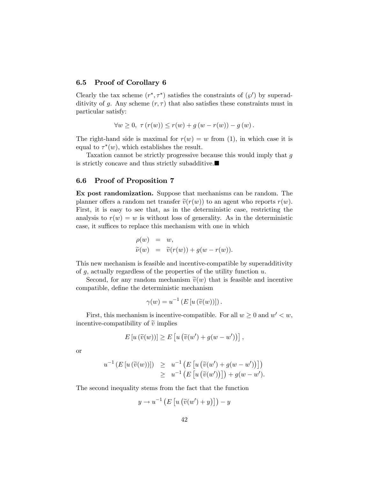#### 6.5 Proof of Corollary 6

Clearly the tax scheme  $(r^*, \tau^*)$  satisfies the constraints of  $(\wp')$  by superadditivity of q. Any scheme  $(r, \tau)$  that also satisfies these constraints must in particular satisfy:

$$
\forall w \geq 0, \ \tau(r(w)) \leq r(w) + g(w - r(w)) - g(w).
$$

The right-hand side is maximal for  $r(w) = w$  from (1), in which case it is equal to  $\tau^*(w)$ , which establishes the result.

Taxation cannot be strictly progressive because this would imply that  $g$ is strictly concave and thus strictly subadditive.

#### 6.6 Proof of Proposition 7

Ex post randomization. Suppose that mechanisms can be random. The planner offers a random net transfer  $\tilde{v}(r(w))$  to an agent who reports  $r(w)$ . First, it is easy to see that, as in the deterministic case, restricting the analysis to  $r(w) = w$  is without loss of generality. As in the deterministic case, it suffices to replace this mechanism with one in which

$$
\rho(w) = w,
$$
  
\n
$$
\widetilde{\nu}(w) = \widetilde{v}(r(w)) + g(w - r(w)).
$$

This new mechanism is feasible and incentive-compatible by superadditivity of  $g$ , actually regardless of the properties of the utility function  $u$ .

Second, for any random mechanism  $\tilde{v}(w)$  that is feasible and incentive compatible, define the deterministic mechanism

$$
\gamma(w) = u^{-1} \left( E \left[ u \left( \widetilde{v}(w) \right) \right] \right).
$$

First, this mechanism is incentive-compatible. For all  $w \ge 0$  and  $w' < w$ , incentive-compatibility of  $\tilde{v}$  implies

$$
E[u(\widetilde{v}(w))] \ge E[u(\widetilde{v}(w') + g(w - w'))],
$$

or

$$
u^{-1} (E [u (\widetilde{v}(w))]) \geq u^{-1} (E [u (\widetilde{v}(w') + g(w - w'))])
$$
  
 
$$
\geq u^{-1} (E [u (\widetilde{v}(w'))]) + g(w - w').
$$

The second inequality stems from the fact that the function

$$
y \to u^{-1} \left( E \left[ u \left( \widetilde{v}(w') + y \right) \right] \right) - y
$$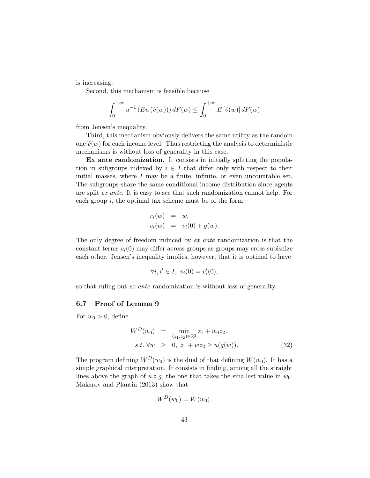is increasing.

Second, this mechanism is feasible because

$$
\int_0^{+\infty} u^{-1} \left( Eu\left(\tilde{v}(w)\right)\right) dF(w) \le \int_0^{+\infty} E\left[\tilde{v}(w)\right] dF(w)
$$

from Jensen's inequality.

Third, this mechanism obviously delivers the same utility as the random one  $\tilde{v}(w)$  for each income level. Thus restricting the analysis to deterministic mechanisms is without loss of generality in this case.

Ex ante randomization. It consists in initially splitting the population in subgroups indexed by  $i \in I$  that differ only with respect to their initial masses, where  $I$  may be a finite, infinite, or even uncountable set. The subgroups share the same conditional income distribution since agents are split ex ante. It is easy to see that such randomization cannot help. For each group  $i$ , the optimal tax scheme must be of the form

$$
r_i(w) = w,
$$
  

$$
v_i(w) = v_i(0) + g(w).
$$

The only degree of freedom induced by ex ante randomization is that the constant terms  $v_i(0)$  may differ across groups as groups may cross-subisdize each other. Jensen's inequality implies, however, that it is optimal to have

$$
\forall i, i' \in I, \ v_i(0) = v'_i(0),
$$

so that ruling out ex ante randomization is without loss of generality.

#### 6.7 Proof of Lemma 9

For  $w_0 > 0$ , define

$$
W^{D}(w_{0}) = \min_{(z_{1}, z_{2}) \in \mathbb{R}^{2}} z_{1} + w_{0} z_{2},
$$
  
s.t.  $\forall w \geq 0, z_{1} + w z_{2} \geq u(g(w)).$  (32)

The program defining  $W^D(w_0)$  is the dual of that defining  $W(w_0)$ . It has a simple graphical interpretation. It consists in finding, among all the straight lines above the graph of  $u \circ g$ , the one that takes the smallest value in  $w_0$ . Makarov and Plantin (2013) show that

$$
W^D(w_0) = W(w_0).
$$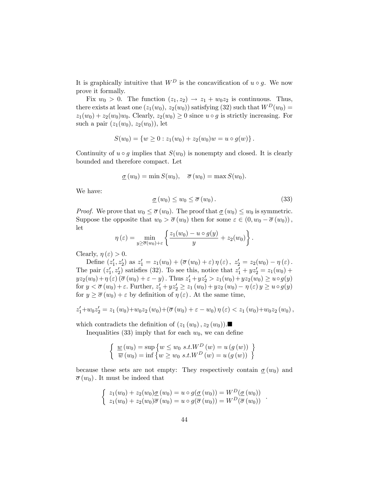It is graphically intuitive that  $W^D$  is the concavification of  $u \circ g$ . We now prove it formally.

Fix  $w_0 > 0$ . The function  $(z_1, z_2) \rightarrow z_1 + w_0 z_2$  is continuous. Thus, there exists at least one  $(z_1(w_0), z_2(w_0))$  satisfying (32) such that  $W^D(w_0)$  =  $z_1(w_0) + z_2(w_0)w_0$ . Clearly,  $z_2(w_0) \geq 0$  since  $u \circ g$  is strictly increasing. For such a pair  $(z_1(w_0), z_2(w_0))$ , let

$$
S(w_0) = \{w \ge 0 : z_1(w_0) + z_2(w_0)w = u \circ g(w)\}.
$$

Continuity of  $u \circ g$  implies that  $S(w_0)$  is nonempty and closed. It is clearly bounded and therefore compact. Let

$$
\underline{\sigma}(w_0) = \min S(w_0), \quad \overline{\sigma}(w_0) = \max S(w_0).
$$

We have:

$$
\underline{\sigma}(w_0) \le w_0 \le \overline{\sigma}(w_0). \tag{33}
$$

:

*Proof.* We prove that  $w_0 \le \overline{\sigma}(w_0)$ . The proof that  $\underline{\sigma}(w_0) \le w_0$  is symmetric. Suppose the opposite that  $w_0 > \overline{\sigma}(w_0)$  then for some  $\varepsilon \in (0, w_0 - \overline{\sigma}(w_0))$ , let

$$
\eta(\varepsilon) = \min_{y \ge \overline{\sigma}(w_0) + \varepsilon} \left\{ \frac{z_1(w_0) - u \circ g(y)}{y} + z_2(w_0) \right\}
$$

Clearly,  $\eta(\varepsilon) > 0$ .

Define  $(z'_1, z'_2)$  as  $z'_1 = z_1(w_0) + (\overline{\sigma}(w_0) + \varepsilon) \eta(\varepsilon), z'_2 = z_2(w_0) - \eta(\varepsilon)$ . The pair  $(z_1', z_2')$  satisfies (32). To see this, notice that  $z_1' + yz_2' = z_1(w_0) +$  $yz_2(w_0) + \eta (\varepsilon) (\bar{\sigma}(w_0) + \varepsilon - y)$ . Thus  $z'_1 + yz'_2 > z_1(w_0) + yz_2(w_0) \ge u \circ g(y)$ for  $y < \overline{\sigma}(w_0) + \varepsilon$ . Further,  $z'_1 + yz'_2 \ge z_1(w_0) + yz_2(w_0) - \eta(\varepsilon) y \ge u \circ g(y)$ for  $y \ge \overline{\sigma}(w_0) + \varepsilon$  by definition of  $\eta(\varepsilon)$ . At the same time,

$$
z_1' + w_0 z_2' = z_1(w_0) + w_0 z_2(w_0) + (\overline{\sigma}(w_0) + \varepsilon - w_0) \eta(\varepsilon) < z_1(w_0) + w_0 z_2(w_0),
$$

which contradicts the definition of  $(z_1 (w_0), z_2 (w_0))$ .

Inequalities (33) imply that for each  $w_0$ , we can define

$$
\begin{cases} \frac{w}{w}(w_0) = \sup \{ w \le w_0 \ s.t. W^D(w) = u(g(w)) \} \\ \overline{w}(w_0) = \inf \{ w \ge w_0 \ s.t. W^D(w) = u(g(w)) \} \end{cases}
$$

because these sets are not empty: They respectively contain  $\sigma(w_0)$  and  $\overline{\sigma}(w_0)$ . It must be indeed that

$$
\begin{cases}\n z_1(w_0) + z_2(w_0) \underline{\sigma}(w_0) = u \circ g(\underline{\sigma}(w_0)) = W^D(\underline{\sigma}(w_0)) \\
 z_1(w_0) + z_2(w_0) \overline{\sigma}(w_0) = u \circ g(\overline{\sigma}(w_0)) = W^D(\overline{\sigma}(w_0))\n\end{cases}.
$$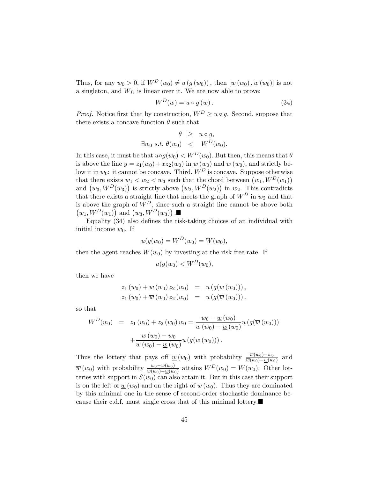Thus, for any  $w_0 > 0$ , if  $W^D(w_0) \neq u(g(w_0))$ , then  $[\underline{w}(w_0), \overline{w}(w_0)]$  is not a singleton, and  $W_D$  is linear over it. We are now able to prove:

$$
W^{D}(w) = \overline{u \circ g}(w). \tag{34}
$$

*Proof.* Notice first that by construction,  $W^D \geq u \circ g$ . Second, suppose that there exists a concave function  $\theta$  such that

$$
\theta \geq u \circ g,
$$
  

$$
\exists w_0 \ s.t. \ \theta(w_0) < W^D(w_0).
$$

In this case, it must be that  $u \circ q(w_0) < W^D(w_0)$ . But then, this means that  $\theta$ is above the line  $y = z_1(w_0) + xz_2(w_0)$  in  $w(w_0)$  and  $\overline{w}(w_0)$ , and strictly below it in  $w_0$ : it cannot be concave. Third,  $W^D$  is concave. Suppose otherwise that there exists  $w_1 < w_2 < w_3$  such that the chord between  $(w_1, W^D(w_1))$ and  $(w_3, W^D(w_3))$  is strictly above  $(w_2, W^D(w_2))$  in  $w_2$ . This contradicts that there exists a straight line that meets the graph of  $W^D$  in  $w_2$  and that is above the graph of  $W^D$ , since such a straight line cannot be above both  $(w_1, W^D(w_1))$  and  $(w_3, W^D(w_3))$ .

Equality  $(34)$  also defines the risk-taking choices of an individual with initial income  $w_0$ . If

$$
u(g(w_0) = W^D(w_0) = W(w_0),
$$

then the agent reaches  $W(w_0)$  by investing at the risk free rate. If

$$
u(g(w_0) < W^D(w_0),
$$

then we have

$$
z_1(w_0) + \underline{w}(w_0) z_2(w_0) = u(g(\underline{w}(w_0))), z_1(w_0) + \overline{w}(w_0) z_2(w_0) = u(g(\overline{w}(w_0))).
$$

so that

$$
W^{D}(w_{0}) = z_{1}(w_{0}) + z_{2}(w_{0}) w_{0} = \frac{w_{0} - \underline{w}(w_{0})}{\overline{w}(w_{0}) - \underline{w}(w_{0})} u(g(\overline{w}(w_{0}))) + \frac{\overline{w}(w_{0}) - w_{0}}{\overline{w}(w_{0}) - \underline{w}(w_{0})} u(g(\underline{w}(w_{0}))).
$$

Thus the lottery that pays off  $\underline{w}(w_0)$  with probability  $\frac{\overline{w}(w_0)-w_0}{\overline{w}(w_0)-\underline{w}(w_0)}$  and  $\overline{w}(w_0)$  with probability  $\frac{w_0 - w(w_0)}{\overline{w}(w_0) - w(w_0)}$  attains  $W^D(w_0) = W(w_0)$ . Other lotteries with support in  $S(w_0)$  can also attain it. But in this case their support is on the left of  $w(w_0)$  and on the right of  $\overline{w}(w_0)$ . Thus they are dominated by this minimal one in the sense of second-order stochastic dominance because their c.d.f. must single cross that of this minimal lottery.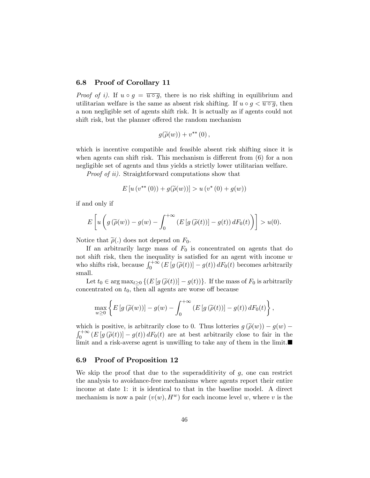#### 6.8 Proof of Corollary 11

*Proof of i)*. If  $u \circ g = \overline{u \circ g}$ , there is no risk shifting in equilibrium and utilitarian welfare is the same as absent risk shifting. If  $u \circ q \leq \overline{u \circ q}$ , then a non negligible set of agents shift risk. It is actually as if agents could not shift risk, but the planner offered the random mechanism

$$
g(\widetilde{\rho}(w)) + v^{**}(0) ,
$$

which is incentive compatible and feasible absent risk shifting since it is when agents can shift risk. This mechanism is different from  $(6)$  for a non negligible set of agents and thus yields a strictly lower utilitarian welfare.

Proof of *ii*). Straightforward computations show that

$$
E[u(v^{**}(0)) + g(\widetilde{\rho}(w))] > u(v^*(0) + g(w))
$$

if and only if

$$
E\left[u\left(g\left(\widetilde{\rho}(w)\right)-g(w)-\int_0^{+\infty}\left(E\left[g\left(\widetilde{\rho}(t)\right)\right]-g(t)\right)dF_0(t)\right)\right]>u(0).
$$

Notice that  $\tilde{\rho}(.)$  does not depend on  $F_0$ .

If an arbitrarily large mass of  $F_0$  is concentrated on agents that do not shift risk, then the inequality is satisfied for an agent with income  $w$ who shifts risk, because  $\int_0^{+\infty} (E[g(\tilde{\rho}(t))] - g(t)) dF_0(t)$  becomes arbitrarily small.

Let  $t_0 \in \arg \max_{t \geq 0} \{ (E [g (\tilde{\rho}(t))] - g(t)) \}.$  If the mass of  $F_0$  is arbitrarily concentrated on  $t_0$ , then all agents are worse off because

$$
\max_{w\geq 0}\left\{E\left[g\left(\widetilde{\rho}(w)\right)\right]-g(w)-\int_0^{+\infty}\left(E\left[g\left(\widetilde{\rho}(t)\right)\right]-g(t)\right)dF_0(t)\right\},\,
$$

which is positive, is arbitrarily close to 0. Thus lotteries  $g(\tilde{\rho}(w)) - g(w) - \int_0^{+\infty} (E[g(\tilde{\rho}(t))] - g(t)) dF_0(t)$  are at best arbitrarily close to fair in the limit and a risk-averse agent is unwilling to take any of them in the limit.

#### 6.9 Proof of Proposition 12

We skip the proof that due to the superadditivity of  $g$ , one can restrict the analysis to avoidance-free mechanisms where agents report their entire income at date 1: it is identical to that in the baseline model. A direct mechanism is now a pair  $(v(w), H^w)$  for each income level w, where v is the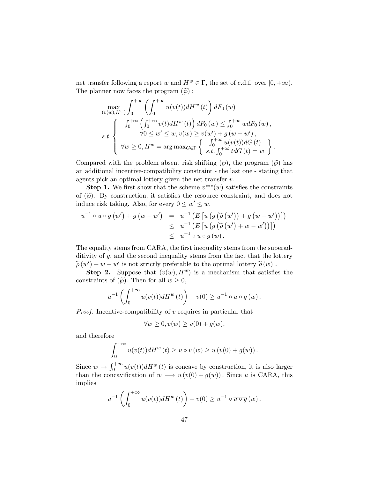net transfer following a report w and  $H^w \in \Gamma$ , the set of c.d.f. over  $[0, +\infty)$ . The planner now faces the program  $(\tilde{\wp})$ :

$$
\max_{(v(w),H^w)} \int_0^{+\infty} \left( \int_0^{+\infty} u(v(t))dH^w(t) \right) dF_0(w)
$$
  
s.t. 
$$
\begin{cases} \int_0^{+\infty} \left( \int_0^{+\infty} v(t) dH^w(t) \right) dF_0(w) \le \int_0^{+\infty} w dF_0(w), \\ \forall 0 \le w' \le w, v(w) \ge v(w') + g(w - w'), \\ \forall w \ge 0, H^w = \arg \max_{G \in \Gamma} \left\{ \int_0^{+\infty} u(v(t)) dG(t) \\ s.t. \int_0^{+\infty} t dG(t) = w \right\}. \end{cases}
$$

Compared with the problem absent risk shifting  $(\varphi)$ , the program  $(\widetilde{\varphi})$  has an additional incentive-compatibility constraint - the last one - stating that agents pick an optimal lottery given the net transfer  $v$ .

**Step 1.** We first show that the scheme  $v^{***}(w)$  satisfies the constraints of  $(\tilde{\varphi})$ . By construction, it satisfies the resource constraint, and does not induce risk taking. Also, for every  $0 \leq w' \leq w$ ,

$$
u^{-1} \circ \overline{u \circ g} (w') + g (w - w') = u^{-1} \left( E \left[ u \left( g \left( \widetilde{\rho} (w') \right) + g (w - w') \right) \right] \right)
$$
  
\$\leq\$  $u^{-1} \left( E \left[ u \left( g \left( \widetilde{\rho} (w') + w - w' \right) \right) \right] \right)$   
\$\leq\$  $u^{-1} \circ \overline{u \circ g} (w).$ 

The equality stems from CARA, the first inequality stems from the superadditivity of g, and the second inequality stems from the fact that the lottery  $\widetilde{\rho}(w') + w - w'$  is not strictly preferable to the optimal lottery  $\widetilde{\rho}(w)$ .

Step 2. Suppose that  $(v(w), H^w)$  is a mechanism that satisfies the constraints of  $(\tilde{\wp})$ . Then for all  $w \geq 0$ ,

$$
u^{-1}\left(\int_0^{+\infty} u(v(t))dH^w(t)\right) - v(0) \ge u^{-1} \circ \overline{u \circ g}(w).
$$

*Proof.* Incentive-compatibility of  $v$  requires in particular that

$$
\forall w \ge 0, v(w) \ge v(0) + g(w),
$$

and therefore

$$
\int_0^{+\infty} u(v(t))dH^w(t) \ge u \circ v(w) \ge u(v(0) + g(w)).
$$

Since  $w \to \int_0^{+\infty} u(v(t))dH^w(t)$  is concave by construction, it is also larger than the concavification of  $w \longrightarrow u(v(0) + g(w))$ . Since u is CARA, this implies

$$
u^{-1}\left(\int_0^{+\infty} u(v(t))dH^w(t)\right) - v(0) \ge u^{-1} \circ \overline{u \circ g}(w).
$$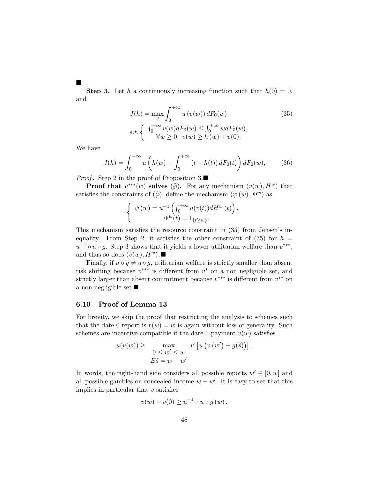**Step 3.** Let h a continuously increasing function such that  $h(0) = 0$ , and

$$
J(h) = \max_{v} \int_{0}^{+\infty} u(v(w)) dF_0(w)
$$
(35)  
s.t. 
$$
\begin{cases} \int_{0}^{+\infty} v(w) dF_0(w) \le \int_{0}^{+\infty} w dF_0(w), \\ \forall w \ge 0, \ v(w) \ge h(w) + v(0). \end{cases}
$$

We have

П

$$
J(h) = \int_0^{+\infty} u \left( h(w) + \int_0^{+\infty} (t - h(t)) dF_0(t) \right) dF_0(w), \tag{36}
$$

*Proof.* Step 2 in the proof of Proposition  $3.$ 

**Proof that**  $v^{**}(w)$  solves  $(\widetilde{\wp})$ . For any mechanism  $(v(w), H^w)$  that satisfies the constraints of  $(\tilde{\wp})$ , define the mechanism  $(\psi(w), \Phi^w)$  as

$$
\begin{cases} \psi(w) = u^{-1} \left( \int_0^{+\infty} u(v(t)) dH^w(t) \right), \\ \Phi^w(t) = 1_{\{t \ge w\}}. \end{cases}
$$

This mechanism satisfies the resource constraint in  $(35)$  from Jensen's inequality. From Step 2, it satisfies the other constraint of (35) for  $h =$  $u^{-1} \circ \overline{u \circ g}$ . Step 3 shows that it yields a lower utilitarian welfare than  $v^{***}$ , and thus so does  $(v(w), H^w)$ .

Finally, if  $\overline{u \circ g} \neq u \circ g$ , utilitarian welfare is strictly smaller than absent risk shifting because  $v^{***}$  is different from  $v^*$  on a non negligible set, and strictly larger than absent commitment because  $v^{***}$  is different from  $v^{**}$  on a non negligible set.

#### 6.10 Proof of Lemma 13

For brevity, we skip the proof that restricting the analysis to schemes such that the date-0 report is  $r(w) = w$  is again without loss of generality. Such schemes are incentive-compatible if the date-1 payment  $v(w)$  satisfies

$$
u(v(w)) \ge \max_{\begin{array}{c}0 \le w' \le w\\E\widetilde{s} = w - w'\end{array}} E\left[u\left(v\left(w'\right) + g(\widetilde{s})\right)\right].
$$

In words, the right-hand side considers all possible reports  $w' \in [0, w]$  and all possible gambles on concealed income  $w - w'$ . It is easy to see that this implies in particular that  $v$  satisfies

$$
v(w) - v(0) \ge u^{-1} \circ \overline{u \circ g}(w).
$$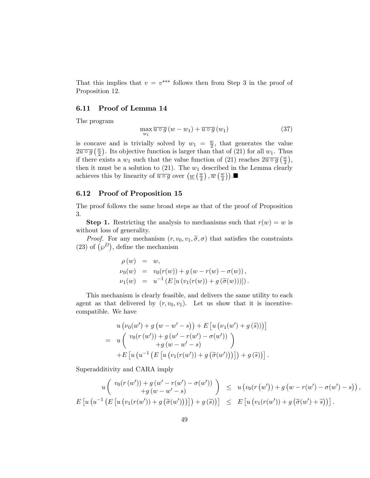That this implies that  $v = v^{***}$  follows then from Step 3 in the proof of Proposition 12.

#### 6.11 Proof of Lemma 14

The program

$$
\max_{w_1} \overline{u \circ g} \left( w - w_1 \right) + \overline{u \circ g} \left( w_1 \right) \tag{37}
$$

is concave and is trivially solved by  $w_1 = \frac{w}{2}$  $\frac{w}{2}$ , that generates the value  $2\overline{u\circ g}(\frac{w}{2})$ . Its objective function is larger than that of (21) for all  $w_1$ . Thus if there exists a  $w_1$  such that the value function of (21) reaches  $2\overline{u\circ g}(\frac{w}{2})$ , then it must be a solution to  $(21)$ . The  $w_1$  described in the Lemma clearly achieves this by linearity of  $\overline{u \circ g}$  over  $(\underline{w}(\frac{w}{2}), \overline{w}(\frac{w}{2}))$ .

#### 6.12 Proof of Proposition 15

The proof follows the same broad steps as that of the proof of Proposition 3.

**Step 1.** Restricting the analysis to mechanisms such that  $r(w) = w$  is without loss of generality.

*Proof.* For any mechanism  $(r, v_0, v_1, \tilde{\sigma}, \sigma)$  that satisfies the constraints (23) of  $(\wp^D)$ , define the mechanism

$$
\rho(w) = w,\n\nu_0(w) = v_0(r(w)) + g(w - r(w) - \sigma(w)),\n\nu_1(w) = u^{-1} (E [u (v_1(r(w)) + g (\tilde{\sigma}(w)))]).
$$

This mechanism is clearly feasible, and delivers the same utility to each agent as that delivered by  $(r, v_0, v_1)$ . Let us show that it is incentivecompatible. We have

$$
u\left(\nu_0(w') + g\left(w - w' - s\right)\right) + E\left[u\left(\nu_1(w') + g\left(\tilde{s}\right)\right)\right]
$$
  
= 
$$
u\left(\begin{array}{c}v_0(r\left(w'\right)) + g\left(w' - r(w') - \sigma(w')\right)\\+ g\left(w - w' - s\right)\end{array}\right)
$$
  
+
$$
E\left[u\left(u^{-1}\left(E\left[u\left(v_1(r(w')) + g\left(\tilde{\sigma}(w')\right)\right)\right]\right) + g\left(\tilde{s}\right)\right)\right].
$$

Superadditivity and CARA imply

$$
u\begin{pmatrix}v_0(r(w'))+g(w'-r(w')-\sigma(w'))\\+g(w-w'-s)\end{pmatrix}\leq u\big(v_0(r(w'))+g(w-r(w')-\sigma(w')-s)\big),
$$
  

$$
E\big[u\big(u^{-1}\big(E\big[u\big(v_1(r(w'))+g\big(\tilde{\sigma}(w')\big)\big)\big]\big)+g(\tilde{s})\big)\big]\leq E\big[u\big(v_1(r(w'))+g\big(\tilde{\sigma}(w')+\tilde{s}\big)\big)\big].
$$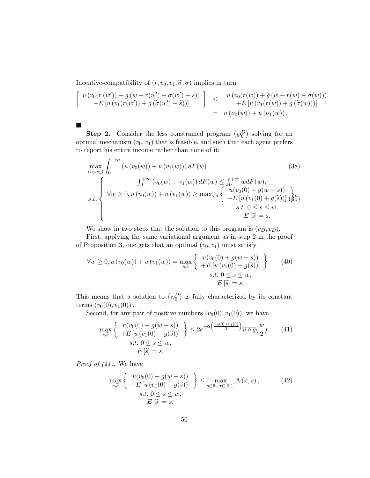Incentive-compatibility of  $(r, v_0, v_1, \tilde{\sigma}, \sigma)$  implies in turn

$$
\begin{bmatrix}\n u\left(v_0(r(w')) + g\left(w - r(w') - \sigma(w') - s\right)\right) \\
 + E\left[u\left(v_1(r(w')) + g\left(\tilde{\sigma}(w') + \tilde{s}\right)\right)\right] & \leq & u\left(v_0(r(w)) + g\left(w - r(w) - \sigma(w)\right)\right) \\
 + E\left[u\left(v_1(r(w)) + g\left(\tilde{\sigma}(w)\right)\right)\right] \\
 = & u\left(v_0(w)\right) + u\left(v_1(w)\right).\n\end{bmatrix}
$$

**Step 2.** Consider the less constrained program  $(\wp_0^D)$  solving for an optimal mechanism  $(v_0, v_1)$  that is feasible, and such that each agent prefers to report his entire income rather than none of it:

$$
\max_{(v_0, v_1)} \int_0^{+\infty} (u(v_0(w)) + u(v_1(w))) dF(w) \tag{38}
$$
\n
$$
s.t. \begin{cases} \n\forall w \ge 0, u(v_0(w)) + u(v_1(w)) \ge \max_{s, \tilde{s}} \begin{cases} \n\exists w \, \text{and} \, F(w), \\ \n\forall w \ge 0, u(v_0(w)) + u(v_1(w)) \ge \max_{s, \tilde{s}} \begin{cases} \n\exists u(v_0(0) + g(w - s)) \\ \n\exists E[u(v_1(0) + g(\tilde{s}))] \text{ and } \n\exists v, \\ \n\exists i, 0 \le s \le w, \\ \n\exists i \in [s] = s. \n\end{cases} \n\end{cases} (38)
$$

We show in two steps that the solution to this program is  $(v_D, v_D)$ .

First, applying the same variational argument as in step 2 in the proof of Proposition 3, one gets that an optimal  $(v_0, v_1)$  must satisfy

$$
\forall w \ge 0, u(v_0(w)) + u(v_1(w)) = \max_{s, \tilde{s}} \left\{ \begin{array}{l} u(v_0(0) + g(w - s)) \\ + E[u(v_1(0) + g(\tilde{s}))] \\ s.t. \ 0 \le s \le w, \\ E[\tilde{s}] = s. \end{array} \right\}.
$$
 (40)

This means that a solution to  $(\wp_0^D)$  is fully characterized by its constant terms  $(v_0(0), v_1(0))$ .

Second, for any pair of positive numbers  $(v_0(0), v_1(0))$ , we have

$$
\max_{s,\tilde{s}} \left\{ \begin{array}{l} u(v_0(0) + g(w - s)) \\ + E[u(v_1(0) + g(\tilde{s}))] \\ s.t. \ 0 \le s \le w, \\ E[\tilde{s}] = s. \end{array} \right\} \le 2e^{-\alpha \left(\frac{v_0(0) + v_1(0)}{2}\right)} \overline{u \circ g}(\frac{w}{2}). \tag{41}
$$

*Proof of*  $(41)$ *.* We have

п

$$
\max_{s,\tilde{s}} \left\{ \begin{array}{l} u(v_0(0) + g(w - s)) \\ + E[u(v_1(0) + g(\tilde{s}))] \end{array} \right\} \le \max_{s \in \mathbb{R}, x \in [0,1]} \Lambda(x, s), \quad (42)
$$
\n
$$
s.t. \ 0 \le s \le w,
$$
\n
$$
E[\tilde{s}] = s.
$$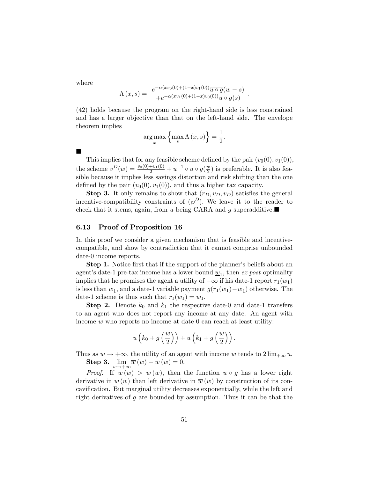where

Е

$$
\Lambda(x,s) = \frac{e^{-\alpha(xv_0(0)+(1-x)v_1(0))}\overline{u\circ g}(w-s)}{+e^{-\alpha(xv_1(0)+(1-x)v_0(0))}\overline{u\circ g}(s)}.
$$

(42) holds because the program on the right-hand side is less constrained and has a larger objective than that on the left-hand side. The envelope theorem implies

$$
\arg\max_{x} \left\{ \max_{s} \Lambda\left(x, s\right) \right\} = \frac{1}{2}.
$$

This implies that for any feasible scheme defined by the pair  $(v_0(0), v_1(0)),$ the scheme  $v^D(w) = \frac{v_0(0) + v_1(0)}{2} + u^{-1} \circ \overline{u \circ g}(\frac{w}{2})$  $\frac{w}{2}$ ) is preferable. It is also feasible because it implies less savings distortion and risk shifting than the one defined by the pair  $(v_0(0), v_1(0))$ , and thus a higher tax capacity.

**Step 3.** It only remains to show that  $(r_D, v_D, v_D)$  satisfies the general incentive-compatibility constraints of  $({\varphi}^D)$ . We leave it to the reader to check that it stems, again, from u being CARA and q superadditive.

#### 6.13 Proof of Proposition 16

In this proof we consider a given mechanism that is feasible and incentivecompatible, and show by contradiction that it cannot comprise unbounded date-0 income reports.

Step 1. Notice first that if the support of the planner's beliefs about an agent's date-1 pre-tax income has a lower bound  $\underline{w}_1$ , then *ex post* optimality implies that he promises the agent a utility of  $-\infty$  if his date-1 report  $r_1(w_1)$ is less than  $\underline{w}_1$ , and a date-1 variable payment  $g(r_1(w_1)-\underline{w}_1)$  otherwise. The date-1 scheme is thus such that  $r_1(w_1) = w_1$ .

**Step 2.** Denote  $k_0$  and  $k_1$  the respective date-0 and date-1 transfers to an agent who does not report any income at any date. An agent with income  $w$  who reports no income at date 0 can reach at least utility:

$$
u\left(k_0+g\left(\frac{w}{2}\right)\right)+u\left(k_1+g\left(\frac{w}{2}\right)\right).
$$

Thus as  $w \to +\infty$ , the utility of an agent with income w tends to  $2 \lim_{+\infty} u$ .

**Step 3.**  $\lim_{w \to +\infty} \overline{w}(w) - \underline{w}(w) = 0.$ 

*Proof.* If  $\overline{w}(w) > w(w)$ , then the function  $u \circ g$  has a lower right derivative in  $w(w)$  than left derivative in  $\overline{w}(w)$  by construction of its concavification. But marginal utility decreases exponentially, while the left and right derivatives of  $g$  are bounded by assumption. Thus it can be that the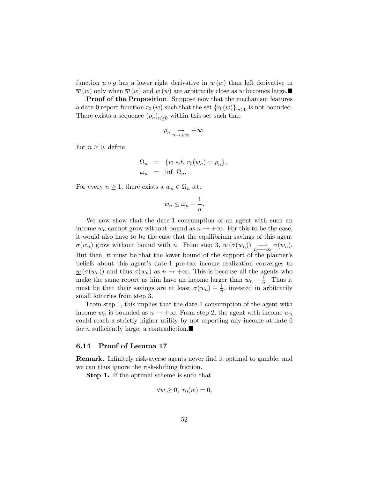function  $u \circ g$  has a lower right derivative in  $\underline{w}(w)$  than left derivative in  $\overline{w}(w)$  only when  $\overline{w}(w)$  and  $\underline{w}(w)$  are arbitrarily close as w becomes large.

Proof of the Proposition. Suppose now that the mechanism features a date-0 report function  $r_0(w)$  such that the set  $\{r_0(w)\}_{w\geq0}$  is not bounded. There exists a sequence  $(\rho_n)_{n\geq 0}$  within this set such that

$$
\rho_n \underset{n \to +\infty}{\to} +\infty.
$$

For  $n \geq 0$ , define

$$
\Omega_n = \{ w \text{ s.t. } r_0(w_n) = \rho_n \},
$$
  

$$
\omega_n = \inf \Omega_n.
$$

For every  $n \geq 1$ , there exists a  $w_n \in \Omega_n$  s.t.

$$
w_n \le \omega_n + \frac{1}{n}.
$$

We now show that the date-1 consumption of an agent with such an income  $w_n$  cannot grow without bound as  $n \to +\infty$ . For this to be the case, it would also have to be the case that the equilibrium savings of this agent  $\sigma(w_n)$  grow without bound with n. From step 3,  $\underline{w}(\sigma(w_n)) \longrightarrow \sigma(w_n)$ . But then, it must be that the lower bound of the support of the planner's beliefs about this agent's date-1 pre-tax income realization converges to  $\underline{w}(\sigma(w_n))$  and thus  $\sigma(w_n)$  as  $n \to +\infty$ . This is because all the agents who make the same report as him have an income larger than  $w_n - \frac{1}{n}$  $\frac{1}{n}$ . Thus it must be that their savings are at least  $\sigma(w_n) - \frac{1}{n}$  $\frac{1}{n}$ , invested in arbitrarily small lotteries from step 3.

From step 1, this implies that the date-1 consumption of the agent with income  $w_n$  is bounded as  $n \to +\infty$ . From step 2, the agent with income  $w_n$ could reach a strictly higher utility by not reporting any income at date 0 for *n* sufficiently large, a contradiction.

#### 6.14 Proof of Lemma 17

**Remark.** Infinitely risk-averse agents never find it optimal to gamble, and we can thus ignore the risk-shifting friction.

**Step 1.** If the optimal scheme is such that

$$
\forall w \ge 0, \ r_0(w) = 0,
$$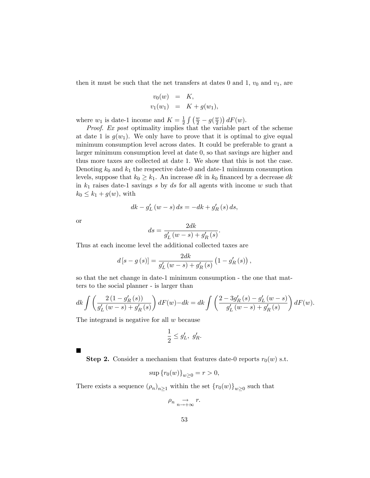then it must be such that the net transfers at dates 0 and 1,  $v_0$  and  $v_1$ , are

$$
v_0(w) = K,
$$
  

$$
v_1(w_1) = K + g(w_1),
$$

where  $w_1$  is date-1 income and  $K = \frac{1}{2}$  $\frac{1}{2}\int \left(\frac{w}{2}-g\right)\frac{w}{2}$  $\frac{w}{2})$  dF(w).

Proof. Ex post optimality implies that the variable part of the scheme at date 1 is  $g(w_1)$ . We only have to prove that it is optimal to give equal minimum consumption level across dates. It could be preferable to grant a larger minimum consumption level at date 0; so that savings are higher and thus more taxes are collected at date 1. We show that this is not the case. Denoting  $k_0$  and  $k_1$  the respective date-0 and date-1 minimum consumption levels, suppose that  $k_0 \geq k_1$ . An increase dk in  $k_0$  financed by a decrease dk in  $k_1$  raises date-1 savings s by ds for all agents with income w such that  $k_0 \leq k_1 + g(w)$ , with

$$
dk - g'_{L}(w - s) ds = -dk + g'_{R}(s) ds,
$$

or

$$
ds = \frac{2dk}{g_L'(w - s) + g_R'(s)}.
$$

Thus at each income level the additional collected taxes are

$$
d[s - g(s)] = \frac{2dk}{g'_{L}(w - s) + g'_{R}(s)} (1 - g'_{R}(s)),
$$

so that the net change in date-1 minimum consumption - the one that matters to the social planner - is larger than

$$
dk \int \left( \frac{2(1 - g'_R(s))}{g'_L(w - s) + g'_R(s)} \right) dF(w) - dk = dk \int \left( \frac{2 - 3g'_R(s) - g'_L(w - s)}{g'_L(w - s) + g'_R(s)} \right) dF(w).
$$

The integrand is negative for all w because

$$
\frac{1}{2} \le g'_L, \ g'_R.
$$

■

**Step 2.** Consider a mechanism that features date-0 reports  $r_0(w)$  s.t.

$$
\sup \{r_0(w)\}_{w \ge 0} = r > 0,
$$

There exists a sequence  $(\rho_n)_{n\geq 1}$  within the set  $\{r_0(w)\}_{w\geq 0}$  such that

$$
\rho_n \underset{n \to +\infty}{\to} r.
$$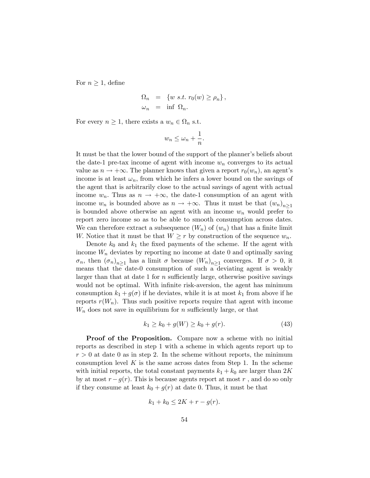For  $n \geq 1$ , define

$$
\Omega_n = \{ w \text{ s.t. } r_0(w) \ge \rho_n \},
$$
  

$$
\omega_n = \inf \Omega_n.
$$

For every  $n \geq 1$ , there exists a  $w_n \in \Omega_n$  s.t.

$$
w_n \leq \omega_n + \frac{1}{n}.
$$

It must be that the lower bound of the support of the planner's beliefs about the date-1 pre-tax income of agent with income  $w_n$  converges to its actual value as  $n \to +\infty$ . The planner knows that given a report  $r_0(w_n)$ , an agent's income is at least  $\omega_n$ , from which he infers a lower bound on the savings of the agent that is arbitrarily close to the actual savings of agent with actual income  $w_n$ . Thus as  $n \to +\infty$ , the date-1 consumption of an agent with income  $w_n$  is bounded above as  $n \to +\infty$ . Thus it must be that  $(w_n)_{n\geq 1}$ is bounded above otherwise an agent with an income  $w_n$  would prefer to report zero income so as to be able to smooth consumption across dates. We can therefore extract a subsequence  $(W_n)$  of  $(w_n)$  that has a finite limit W. Notice that it must be that  $W \geq r$  by construction of the sequence  $w_n$ .

Denote  $k_0$  and  $k_1$  the fixed payments of the scheme. If the agent with income  $W_n$  deviates by reporting no income at date 0 and optimally saving  $\sigma_n$ , then  $(\sigma_n)_{n\geq 1}$  has a limit  $\sigma$  because  $(W_n)_{n\geq 1}$  converges. If  $\sigma > 0$ , it means that the date-0 consumption of such a deviating agent is weakly larger than that at date 1 for n sufficiently large, otherwise positive savings would not be optimal. With infinite risk-aversion, the agent has minimum consumption  $k_1 + g(\sigma)$  if he deviates, while it is at most  $k_1$  from above if he reports  $r(W_n)$ . Thus such positive reports require that agent with income  $W_n$  does not save in equilibrium for n sufficiently large, or that

$$
k_1 \ge k_0 + g(W) \ge k_0 + g(r). \tag{43}
$$

Proof of the Proposition. Compare now a scheme with no initial reports as described in step 1 with a scheme in which agents report up to  $r > 0$  at date 0 as in step 2. In the scheme without reports, the minimum consumption level  $K$  is the same across dates from Step 1. In the scheme with initial reports, the total constant payments  $k_1 + k_0$  are larger than  $2K$ by at most  $r - g(r)$ . This is because agents report at most r, and do so only if they consume at least  $k_0 + g(r)$  at date 0. Thus, it must be that

$$
k_1 + k_0 \le 2K + r - g(r).
$$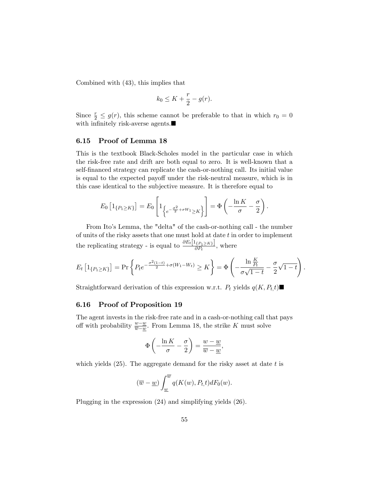Combined with (43), this implies that

$$
k_0 \le K + \frac{r}{2} - g(r).
$$

Since  $\frac{r}{2} \leq g(r)$ , this scheme cannot be preferable to that in which  $r_0 = 0$ with infinitely risk-averse agents.

## 6.15 Proof of Lemma 18

This is the textbook Black-Scholes model in the particular case in which the risk-free rate and drift are both equal to zero. It is well-known that a self-Önanced strategy can replicate the cash-or-nothing call. Its initial value is equal to the expected payoff under the risk-neutral measure, which is in this case identical to the subjective measure. It is therefore equal to

$$
E_0\left[1_{\{P_1\geq K\}}\right] = E_0\left[1_{\left\{e^{-\frac{\sigma^2}{2}+\sigma W_1}\geq K\right\}}\right] = \Phi\left(-\frac{\ln K}{\sigma} - \frac{\sigma}{2}\right).
$$

From Itoís Lemma, the "delta" of the cash-or-nothing call - the number of units of the risky assets that one must hold at date  $t$  in order to implement the replicating strategy - is equal to  $\frac{\partial E_t[1_{\{P_1 \geq K\}}]}{\partial P_t}$ , where

$$
E_t\left[1_{\{P_1\geq K\}}\right] = \Pr\left\{P_t e^{-\frac{\sigma^2(1-t)}{2} + \sigma(W_1 - W_t)} \geq K\right\} = \Phi\left(-\frac{\ln\frac{K}{P_t}}{\sigma\sqrt{1-t}} - \frac{\sigma}{2}\sqrt{1-t}\right).
$$

Straightforward derivation of this expression w.r.t.  $P_t$  yields  $q(K, P_t, t)$ 

#### 6.16 Proof of Proposition 19

The agent invests in the risk-free rate and in a cash-or-nothing call that pays off with probability  $\frac{w-\underline{w}}{\overline{w}-\underline{w}}$ . From Lemma 18, the strike K must solve

$$
\Phi\left(-\frac{\ln K}{\sigma}-\frac{\sigma}{2}\right)=\frac{w-\underline{w}}{\overline{w}-\underline{w}},
$$

which yields  $(25)$ . The aggregate demand for the risky asset at date t is

$$
(\overline{w} - \underline{w}) \int_{\underline{w}}^{\overline{w}} q(K(w), P_{t}, t) dF_0(w).
$$

Plugging in the expression (24) and simplifying yields (26).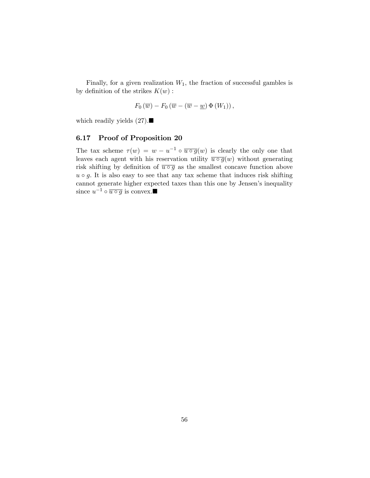Finally, for a given realization  $W_1$ , the fraction of successful gambles is by definition of the strikes  $K(w)$ :

$$
F_0(\overline{w}) - F_0(\overline{w} - (\overline{w} - \underline{w}) \Phi(W_1)),
$$

which readily yields  $(27)$ .

### 6.17 Proof of Proposition 20

The tax scheme  $\tau(w) = w - u^{-1} \circ \overline{u \circ g}(w)$  is clearly the only one that leaves each agent with his reservation utility  $\overline{u \circ g}(w)$  without generating risk shifting by definition of  $\overline{u \circ g}$  as the smallest concave function above  $u \circ g$ . It is also easy to see that any tax scheme that induces risk shifting cannot generate higher expected taxes than this one by Jensen's inequality since  $u^{-1} \circ \overline{u \circ g}$  is convex.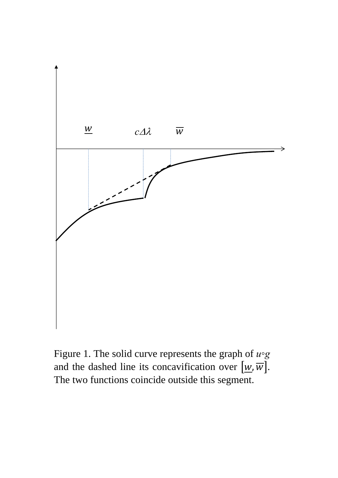

Figure 1. The solid curve represents the graph of *u◦g* and the dashed line its concavification over  $[\underline{w}, \overline{w}]$ . The two functions coincide outside this segment.